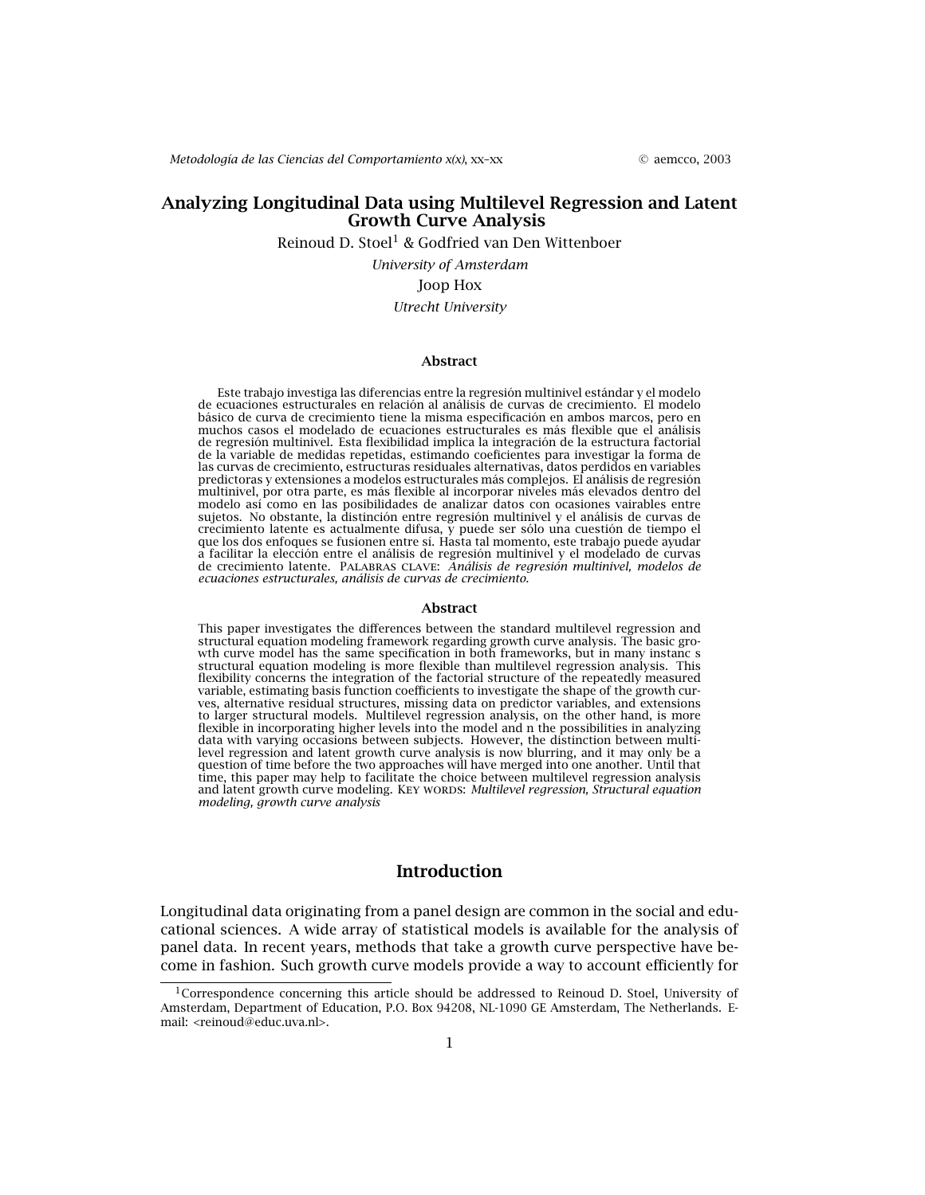*Metodología de las Ciencias del Comportamiento x(x)*, xx–xx © aemcco, 2003

## **Analyzing Longitudinal Data using Multilevel Regression and Latent Growth Curve Analysis**

Reinoud D. Stoel<sup>1</sup> & Godfried van Den Wittenboer

*University of Amsterdam*

#### Joop Hox

### *Utrecht University*

#### **Abstract**

Este trabajo investiga las diferencias entre la regresión multinivel estándar y el modelo de ecuaciones estructurales en relación al análisis de curvas de crecimiento. El modelo básico de curva de crecimiento tiene la misma especificación en ambos marcos, pero en muchos casos el modelado de ecuaciones estructurales es más flexible que el análisis de regresión multinivel. Esta flexibilidad implica la integración de la estructura factorial de la variable de medidas repetidas, estimando coeficientes para investigar la forma de las curvas de crecimiento, estructuras residuales alternativas, datos perdidos en variables predictoras y extensiones a modelos estructurales más complejos. El análisis de regresión multinivel, por otra parte, es más flexible al incorporar niveles más elevados dentro del modelo así como en las posibilidades de analizar datos con ocasiones vairables entre sujetos. No obstante, la distinción entre regresión multinivel y el análisis de curvas de crecimiento latente es actualmente difusa, y puede ser sólo una cuestión de tiempo el que los dos enfoques se fusionen entre sí. Hasta tal momento, este trabajo puede ayudar a facilitar la elección entre el análisis de regresión multinivel y el modelado de curvas de crecimiento latente. Palabras clave: *Análisis de regresión multinivel, modelos de ecuaciones estructurales, análisis de curvas de crecimiento.*

#### **Abstract**

This paper investigates the differences between the standard multilevel regression and structural equation modeling framework regarding growth curve analysis. The basic growth curve model has the same specification in both frameworks, but in many instanc s structural equation modeling is more flexible than multilevel regression analysis. This flexibility concerns the integration of the factorial structure of the repeatedly measured variable, estimating basis function coefficients to investigate the shape of the growth curves, alternative residual structures, missing data on predictor variables, and extensions to larger structural models. Multilevel regression analysis, on the other hand, is more flexible in incorporating higher levels into the model and n the possibilities in analyzing data with varying occasions between subjects. However, the distinction between multilevel regression and latent growth curve analysis is now blurring, and it may only be a question of time before the two approaches will have merged into one another. Until that time, this paper may help to facilitate the choice between multilevel regression analysis and latent growth curve modeling. KEY WORDS: *Multilevel regression, Structural equation modeling, growth curve analysis*

## **Introduction**

Longitudinal data originating from a panel design are common in the social and educational sciences. A wide array of statistical models is available for the analysis of panel data. In recent years, methods that take a growth curve perspective have become in fashion. Such growth curve models provide a way to account efficiently for

<sup>&</sup>lt;sup>1</sup>Correspondence concerning this article should be addressed to Reinoud D. Stoel, University of Amsterdam, Department of Education, P.O. Box 94208, NL-1090 GE Amsterdam, The Netherlands. Email: <reinoud@educ.uva.nl>.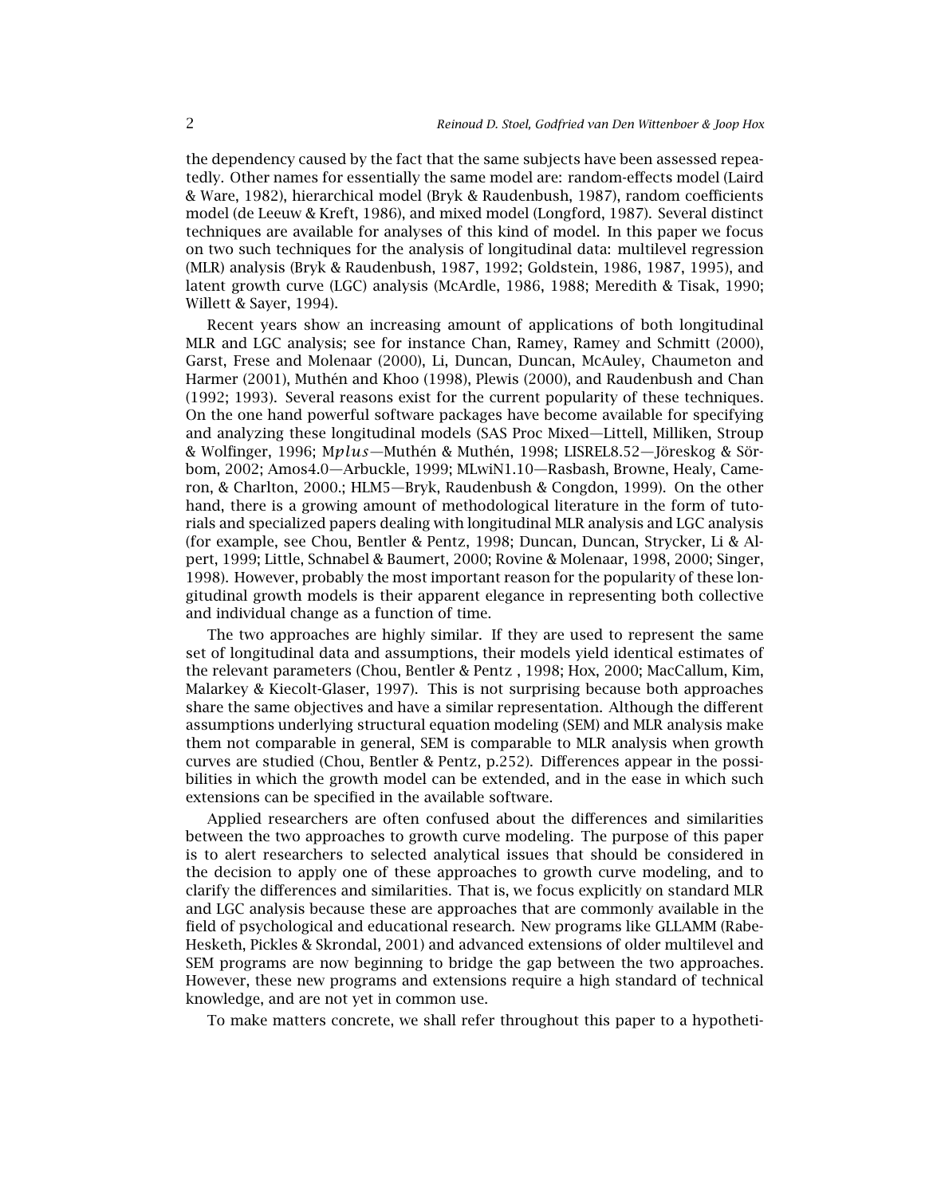the dependency caused by the fact that the same subjects have been assessed repeatedly. Other names for essentially the same model are: random-effects model (Laird & Ware, 1982), hierarchical model (Bryk & Raudenbush, 1987), random coefficients model (de Leeuw & Kreft, 1986), and mixed model (Longford, 1987). Several distinct techniques are available for analyses of this kind of model. In this paper we focus on two such techniques for the analysis of longitudinal data: multilevel regression (MLR) analysis (Bryk & Raudenbush, 1987, 1992; Goldstein, 1986, 1987, 1995), and latent growth curve (LGC) analysis (McArdle, 1986, 1988; Meredith & Tisak, 1990; Willett & Sayer, 1994).

Recent years show an increasing amount of applications of both longitudinal MLR and LGC analysis; see for instance Chan, Ramey, Ramey and Schmitt (2000), Garst, Frese and Molenaar (2000), Li, Duncan, Duncan, McAuley, Chaumeton and Harmer (2001), Muthén and Khoo (1998), Plewis (2000), and Raudenbush and Chan (1992; 1993). Several reasons exist for the current popularity of these techniques. On the one hand powerful software packages have become available for specifying and analyzing these longitudinal models (SAS Proc Mixed—Littell, Milliken, Stroup & Wolfinger, 1996; M*plus*—Muthén & Muthén, 1998; LISREL8.52—Jöreskog & Sörbom, 2002; Amos4.0—Arbuckle, 1999; MLwiN1.10—Rasbash, Browne, Healy, Cameron, & Charlton, 2000.; HLM5—Bryk, Raudenbush & Congdon, 1999). On the other hand, there is a growing amount of methodological literature in the form of tutorials and specialized papers dealing with longitudinal MLR analysis and LGC analysis (for example, see Chou, Bentler & Pentz, 1998; Duncan, Duncan, Strycker, Li & Alpert, 1999; Little, Schnabel & Baumert, 2000; Rovine & Molenaar, 1998, 2000; Singer, 1998). However, probably the most important reason for the popularity of these longitudinal growth models is their apparent elegance in representing both collective and individual change as a function of time.

The two approaches are highly similar. If they are used to represent the same set of longitudinal data and assumptions, their models yield identical estimates of the relevant parameters (Chou, Bentler & Pentz , 1998; Hox, 2000; MacCallum, Kim, Malarkey & Kiecolt-Glaser, 1997). This is not surprising because both approaches share the same objectives and have a similar representation. Although the different assumptions underlying structural equation modeling (SEM) and MLR analysis make them not comparable in general, SEM is comparable to MLR analysis when growth curves are studied (Chou, Bentler & Pentz, p.252). Differences appear in the possibilities in which the growth model can be extended, and in the ease in which such extensions can be specified in the available software.

Applied researchers are often confused about the differences and similarities between the two approaches to growth curve modeling. The purpose of this paper is to alert researchers to selected analytical issues that should be considered in the decision to apply one of these approaches to growth curve modeling, and to clarify the differences and similarities. That is, we focus explicitly on standard MLR and LGC analysis because these are approaches that are commonly available in the field of psychological and educational research. New programs like GLLAMM (Rabe-Hesketh, Pickles & Skrondal, 2001) and advanced extensions of older multilevel and SEM programs are now beginning to bridge the gap between the two approaches. However, these new programs and extensions require a high standard of technical knowledge, and are not yet in common use.

To make matters concrete, we shall refer throughout this paper to a hypotheti-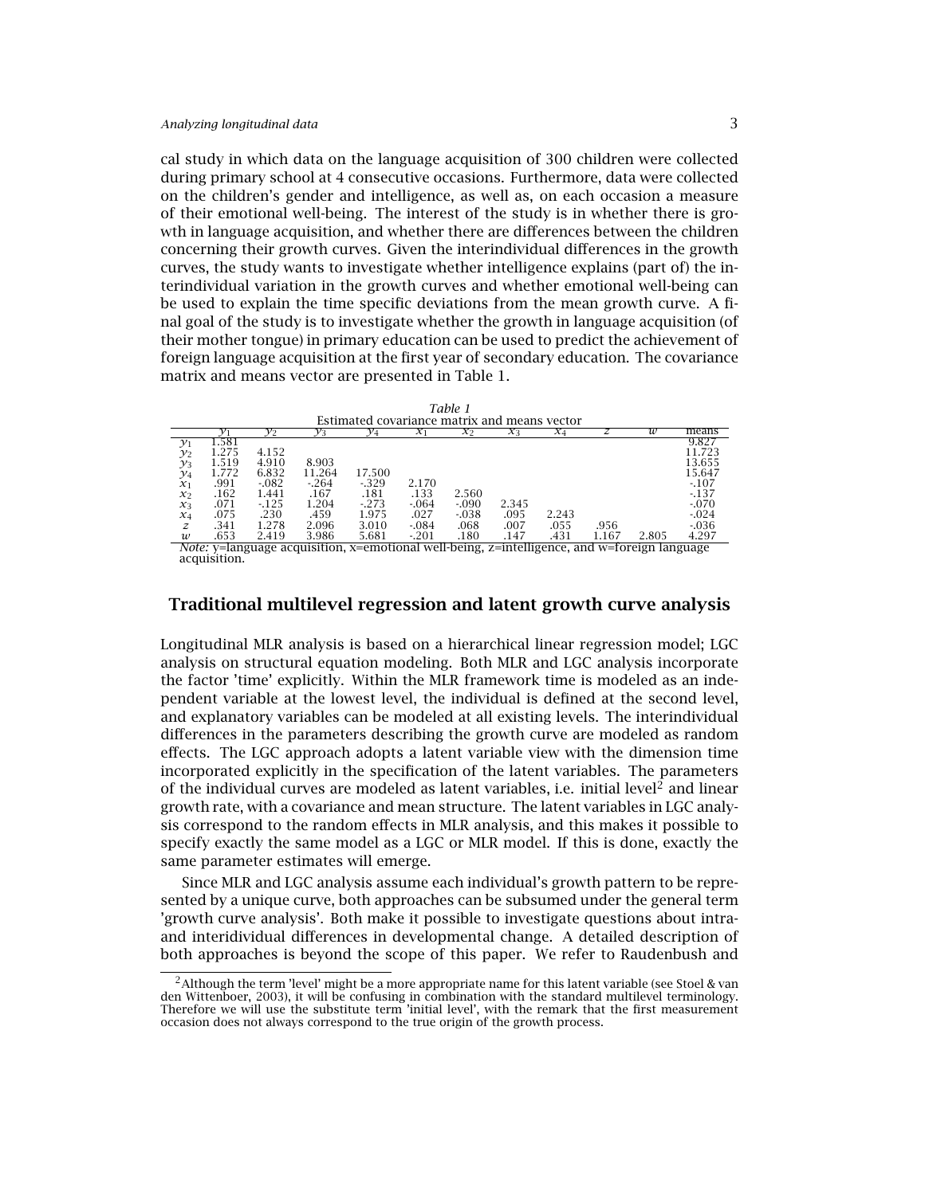cal study in which data on the language acquisition of 300 children were collected during primary school at 4 consecutive occasions. Furthermore, data were collected on the children's gender and intelligence, as well as, on each occasion a measure of their emotional well-being. The interest of the study is in whether there is growth in language acquisition, and whether there are differences between the children concerning their growth curves. Given the interindividual differences in the growth curves, the study wants to investigate whether intelligence explains (part of) the interindividual variation in the growth curves and whether emotional well-being can be used to explain the time specific deviations from the mean growth curve. A final goal of the study is to investigate whether the growth in language acquisition (of their mother tongue) in primary education can be used to predict the achievement of foreign language acquisition at the first year of secondary education. The covariance matrix and means vector are presented in Table 1.

|                                                                                                           | 1 able 1 |          |        |                 |          |          |       |       |       |       |          |
|-----------------------------------------------------------------------------------------------------------|----------|----------|--------|-----------------|----------|----------|-------|-------|-------|-------|----------|
| Estimated covariance matrix and means vector                                                              |          |          |        |                 |          |          |       |       |       |       |          |
|                                                                                                           |          | $v_2$    | Yз     | $\mathcal{Y}_4$ | $\chi_1$ | $x_2$    | $x_3$ | $x_4$ |       | w     | means    |
| $\mathcal{Y}_1$                                                                                           | .581     |          |        |                 |          |          |       |       |       |       | 9.827    |
| $\mathcal{Y}_2$                                                                                           | 1.275    | 4.152    |        |                 |          |          |       |       |       |       | 11.723   |
| $\mathcal{Y}_3$                                                                                           | 1.519    | 4.910    | 8.903  |                 |          |          |       |       |       |       | 13.655   |
| $\mathcal{Y}_4$                                                                                           | 1.772    | 6.832    | 11.264 | 17.500          |          |          |       |       |       |       | 15.647   |
| $x_1$                                                                                                     | .991     | $-0.082$ | $-264$ | $-329$          | 2.170    |          |       |       |       |       | $-107$   |
| $x_2$                                                                                                     | .162     | 1.441    | .167   | .181            | .133     | 2.560    |       |       |       |       | $-137$   |
| $x_3$                                                                                                     | .071     | $-125$   | 1.204  | $-273$          | $-064$   | $-.090$  | 2.345 |       |       |       | $-070$   |
| $x_4$                                                                                                     | .075     | .230     | .459   | 1.975           | .027     | $-0.038$ | .095  | 2.243 |       |       | $-0.024$ |
| z                                                                                                         | .341     | 1.278    | 2.096  | 3.010           | $-0.084$ | .068     | .007  | .055  | .956  |       | $-0.36$  |
| $\boldsymbol{w}$                                                                                          | .653     | 2.419    | 3.986  | 5.681           | $-201$   | .180     | .147  | .431  | 1.167 | 2.805 | 4.297    |
| Afatar in James and a send of the Constitutional confliction of the House of the James Constant James and |          |          |        |                 |          |          |       |       |       |       |          |

*Table 1*

*Note:* y=language acquisition, x=emotional well-being, z=intelligence, and w=foreign language acquisition.

# **Traditional multilevel regression and latent growth curve analysis**

Longitudinal MLR analysis is based on a hierarchical linear regression model; LGC analysis on structural equation modeling. Both MLR and LGC analysis incorporate the factor 'time' explicitly. Within the MLR framework time is modeled as an independent variable at the lowest level, the individual is defined at the second level, and explanatory variables can be modeled at all existing levels. The interindividual differences in the parameters describing the growth curve are modeled as random effects. The LGC approach adopts a latent variable view with the dimension time incorporated explicitly in the specification of the latent variables. The parameters of the individual curves are modeled as latent variables, i.e. initial level<sup>2</sup> and linear growth rate, with a covariance and mean structure. The latent variables in LGC analysis correspond to the random effects in MLR analysis, and this makes it possible to specify exactly the same model as a LGC or MLR model. If this is done, exactly the same parameter estimates will emerge.

Since MLR and LGC analysis assume each individual's growth pattern to be represented by a unique curve, both approaches can be subsumed under the general term 'growth curve analysis'. Both make it possible to investigate questions about intraand interidividual differences in developmental change. A detailed description of both approaches is beyond the scope of this paper. We refer to Raudenbush and

<sup>&</sup>lt;sup>2</sup> Although the term 'level' might be a more appropriate name for this latent variable (see Stoel & van den Wittenboer, 2003), it will be confusing in combination with the standard multilevel terminology. Therefore we will use the substitute term 'initial level', with the remark that the first measurement occasion does not always correspond to the true origin of the growth process.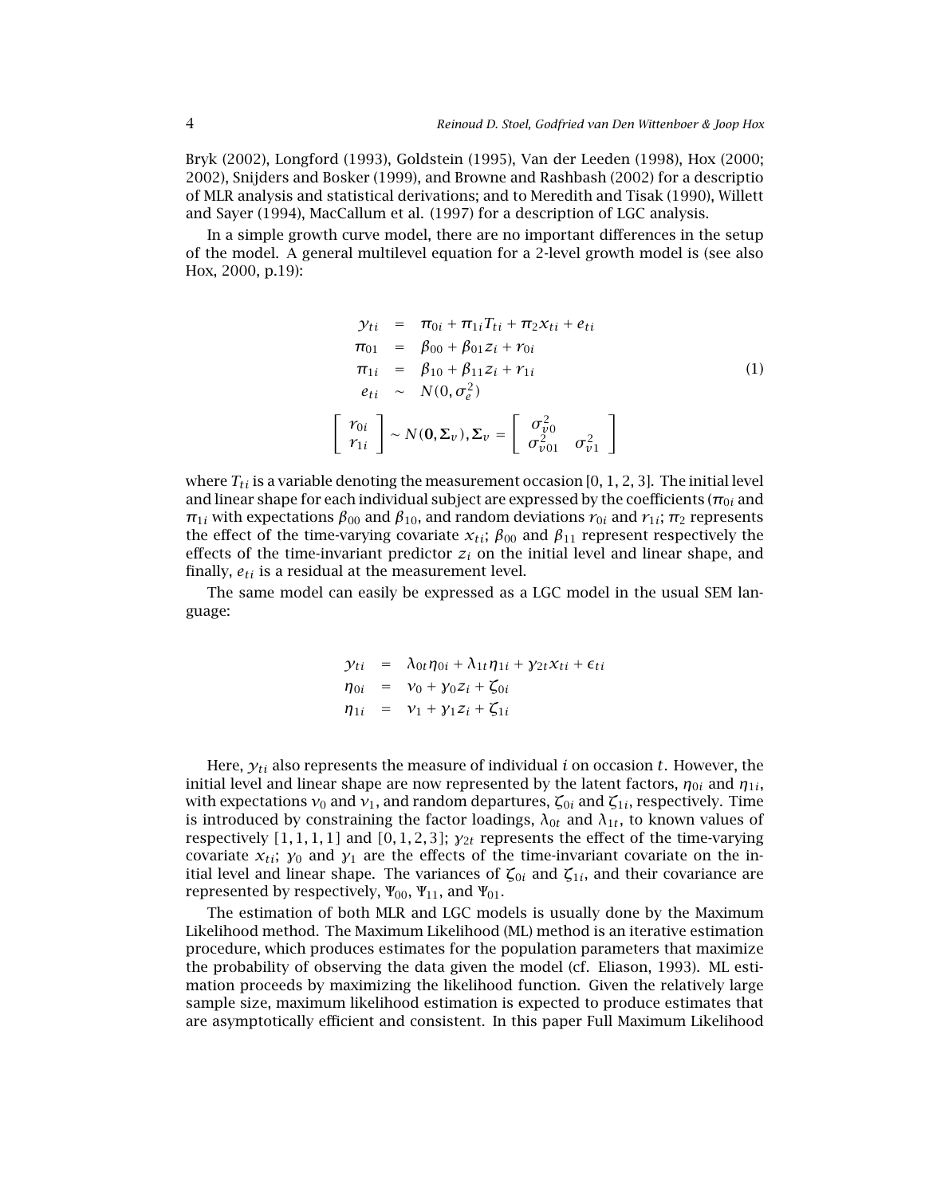Bryk (2002), Longford (1993), Goldstein (1995), Van der Leeden (1998), Hox (2000; 2002), Snijders and Bosker (1999), and Browne and Rashbash (2002) for a descriptio of MLR analysis and statistical derivations; and to Meredith and Tisak (1990), Willett and Sayer (1994), MacCallum et al. (1997) for a description of LGC analysis.

In a simple growth curve model, there are no important differences in the setup of the model. A general multilevel equation for a 2-level growth model is (see also Hox, 2000, p.19):

$$
\mathcal{Y}_{ti} = \pi_{0i} + \pi_{1i} T_{ti} + \pi_2 x_{ti} + e_{ti}
$$
\n
$$
\pi_{01} = \beta_{00} + \beta_{01} z_i + r_{0i}
$$
\n
$$
\pi_{1i} = \beta_{10} + \beta_{11} z_i + r_{1i}
$$
\n
$$
e_{ti} \sim N(0, \sigma_e^2)
$$
\n
$$
\begin{bmatrix} r_{0i} \\ r_{1i} \end{bmatrix} \sim N(0, \Sigma_v), \Sigma_v = \begin{bmatrix} \sigma_{v0}^2 \\ \sigma_{v01}^2 & \sigma_{v1}^2 \end{bmatrix}
$$
\n(1)

where  $T_{ti}$  is a variable denoting the measurement occasion  $[0, 1, 2, 3]$ . The initial level and linear shape for each individual subject are expressed by the coefficients ( $\pi_{0i}$  and  $\pi_{1i}$  with expectations  $\beta_{00}$  and  $\beta_{10}$ , and random deviations  $r_{0i}$  and  $r_{1i}$ ;  $\pi_2$  represents the effect of the time-varying covariate  $x_{ti}$ ;  $\beta_{00}$  and  $\beta_{11}$  represent respectively the effects of the time-invariant predictor  $z_i$  on the initial level and linear shape, and finally, *eti* is a residual at the measurement level.

The same model can easily be expressed as a LGC model in the usual SEM language:

$$
\begin{array}{rcl}\n\mathcal{Y}_{ti} & = & \lambda_{0t} \eta_{0i} + \lambda_{1t} \eta_{1i} + \gamma_{2t} x_{ti} + \epsilon_{ti} \\
\eta_{0i} & = & v_0 + \gamma_0 z_i + \zeta_{0i} \\
\eta_{1i} & = & v_1 + \gamma_1 z_i + \zeta_{1i}\n\end{array}
$$

Here, *yti* also represents the measure of individual *i* on occasion *t*. However, the initial level and linear shape are now represented by the latent factors,  $\eta_{0i}$  and  $\eta_{1i}$ , with expectations  $ν_0$  and  $ν_1$ , and random departures,  $ζ_{0i}$  and  $ζ_{1i}$ , respectively. Time is introduced by constraining the factor loadings,  $\lambda_{0t}$  and  $\lambda_{1t}$ , to known values of respectively *[*1*,* 1*,* 1*,* 1*]* and *[*0*,* 1*,* 2*,* 3*]*; *γ*2*<sup>t</sup>* represents the effect of the time-varying covariate  $x_{ti}$ ;  $y_0$  and  $y_1$  are the effects of the time-invariant covariate on the initial level and linear shape. The variances of  $\zeta_{0i}$  and  $\zeta_{1i}$ , and their covariance are represented by respectively,  $\Psi_{00}$ ,  $\Psi_{11}$ , and  $\Psi_{01}$ .

The estimation of both MLR and LGC models is usually done by the Maximum Likelihood method. The Maximum Likelihood (ML) method is an iterative estimation procedure, which produces estimates for the population parameters that maximize the probability of observing the data given the model (cf. Eliason, 1993). ML estimation proceeds by maximizing the likelihood function. Given the relatively large sample size, maximum likelihood estimation is expected to produce estimates that are asymptotically efficient and consistent. In this paper Full Maximum Likelihood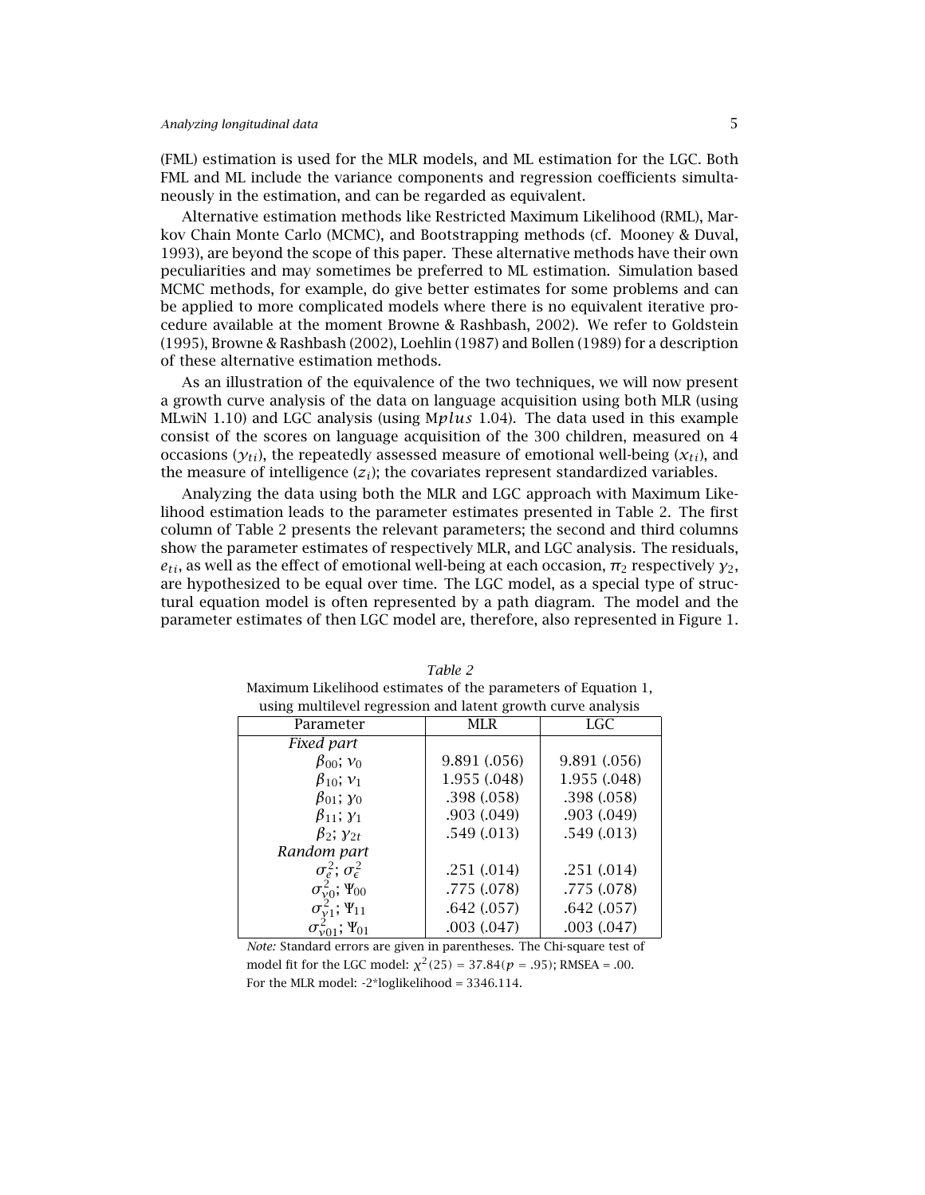(FML) estimation is used for the MLR models, and ML estimation for the LGC. Both FML and ML include the variance components and regression coefficients simultaneously in the estimation, and can be regarded as equivalent.

Alternative estimation methods like Restricted Maximum Likelihood (RML), Markov Chain Monte Carlo (MCMC), and Bootstrapping methods (cf. Mooney & Duval, 1993), are beyond the scope of this paper. These alternative methods have their own peculiarities and may sometimes be preferred to ML estimation. Simulation based MCMC methods, for example, do give better estimates for some problems and can be applied to more complicated models where there is no equivalent iterative procedure available at the moment Browne & Rashbash, 2002). We refer to Goldstein (1995), Browne & Rashbash (2002), Loehlin (1987) and Bollen (1989) for a description of these alternative estimation methods.

As an illustration of the equivalence of the two techniques, we will now present a growth curve analysis of the data on language acquisition using both MLR (using MLwiN 1.10) and LGC analysis (using M*plus* 1.04). The data used in this example consist of the scores on language acquisition of the 300 children, measured on 4 occasions ( $y_{ti}$ ), the repeatedly assessed measure of emotional well-being ( $x_{ti}$ ), and the measure of intelligence  $(z_i)$ ; the covariates represent standardized variables.

Analyzing the data using both the MLR and LGC approach with Maximum Likelihood estimation leads to the parameter estimates presented in Table 2. The first column of Table 2 presents the relevant parameters; the second and third columns show the parameter estimates of respectively MLR, and LGC analysis. The residuals,  $e_{ti}$ , as well as the effect of emotional well-being at each occasion,  $\pi_2$  respectively  $\gamma_2$ , are hypothesized to be equal over time. The LGC model, as a special type of structural equation model is often represented by a path diagram. The model and the parameter estimates of then LGC model are, therefore, also represented in Figure 1.

| using multilevel regression and latent growth curve analysis |              |              |  |  |  |  |
|--------------------------------------------------------------|--------------|--------------|--|--|--|--|
| Parameter                                                    | MLR          | <b>LGC</b>   |  |  |  |  |
| Fixed part                                                   |              |              |  |  |  |  |
| $\beta_{00}$ ; $v_0$                                         | 9.891 (.056) | 9.891 (.056) |  |  |  |  |
| $\beta_{10}$ ; $v_1$                                         | 1.955 (.048) | 1.955 (.048) |  |  |  |  |
| $\beta_{01}$ ; $\gamma_0$                                    | .398(.058)   | .398(.058)   |  |  |  |  |
| $\beta_{11};\gamma_1$                                        | .903(.049)   | .903(.049)   |  |  |  |  |
| $\beta_2$ ; $\gamma_{2t}$                                    | .549(.013)   | .549(.013)   |  |  |  |  |
| Random part                                                  |              |              |  |  |  |  |
| $\sigma_{\epsilon}^2$ ; $\sigma_{\epsilon}^2$                | .251(.014)   | .251(.014)   |  |  |  |  |
| $\sigma_{\nu 0}^2$ ; $\Psi_{00}$                             | .775(.078)   | .775 (.078)  |  |  |  |  |
| $\sigma_{\nu 1}^2$ ; $\Psi_{11}$                             | .642(.057)   | .642(.057)   |  |  |  |  |
| $\sigma_{\nu 01}^2$ ; $\Psi_{01}$                            | .003(.047)   | .003(.047)   |  |  |  |  |

*Table 2* Maximum Likelihood estimates of the parameters of Equation 1, using multilevel regression and latent growth curve analysis

*Note:* Standard errors are given in parentheses. The Chi-square test of model fit for the LGC model:  $\chi^2(25) = 37.84(p = .95)$ ; RMSEA = .00. For the MLR model: -2\*loglikelihood = 3346.114.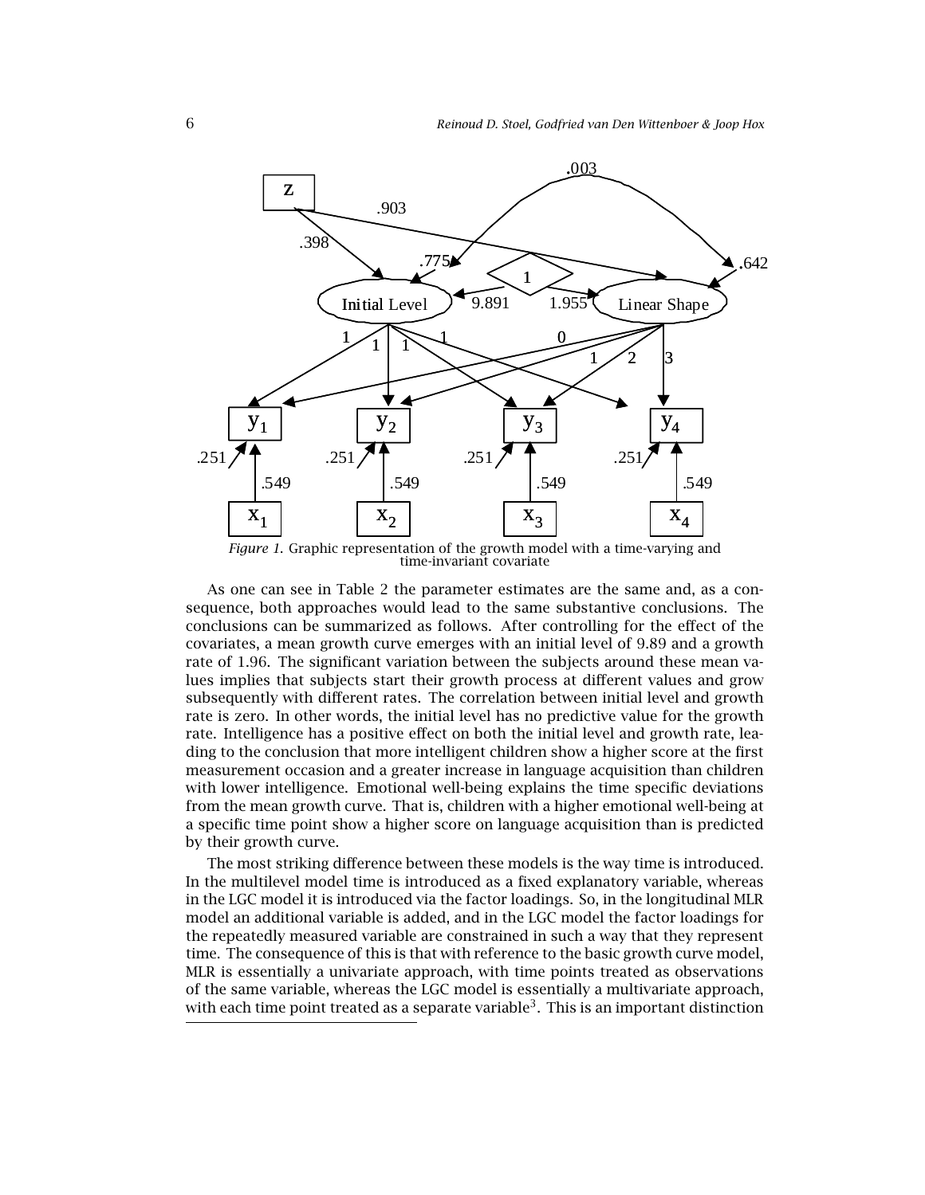

*Figure 1*. Graphic representation of the growth model with a time-varying and time-invariant covariate

As one can see in Table 2 the parameter estimates are the same and, as a consequence, both approaches would lead to the same substantive conclusions. The conclusions can be summarized as follows. After controlling for the effect of the covariates, a mean growth curve emerges with an initial level of 9.89 and a growth rate of 1.96. The significant variation between the subjects around these mean values implies that subjects start their growth process at different values and grow subsequently with different rates. The correlation between initial level and growth rate is zero. In other words, the initial level has no predictive value for the growth rate. Intelligence has a positive effect on both the initial level and growth rate, leading to the conclusion that more intelligent children show a higher score at the first measurement occasion and a greater increase in language acquisition than children with lower intelligence. Emotional well-being explains the time specific deviations from the mean growth curve. That is, children with a higher emotional well-being at a specific time point show a higher score on language acquisition than is predicted by their growth curve.

The most striking difference between these models is the way time is introduced. In the multilevel model time is introduced as a fixed explanatory variable, whereas in the LGC model it is introduced via the factor loadings. So, in the longitudinal MLR model an additional variable is added, and in the LGC model the factor loadings for the repeatedly measured variable are constrained in such a way that they represent time. The consequence of this is that with reference to the basic growth curve model, MLR is essentially a univariate approach, with time points treated as observations of the same variable, whereas the LGC model is essentially a multivariate approach, with each time point treated as a separate variable<sup>3</sup>. This is an important distinction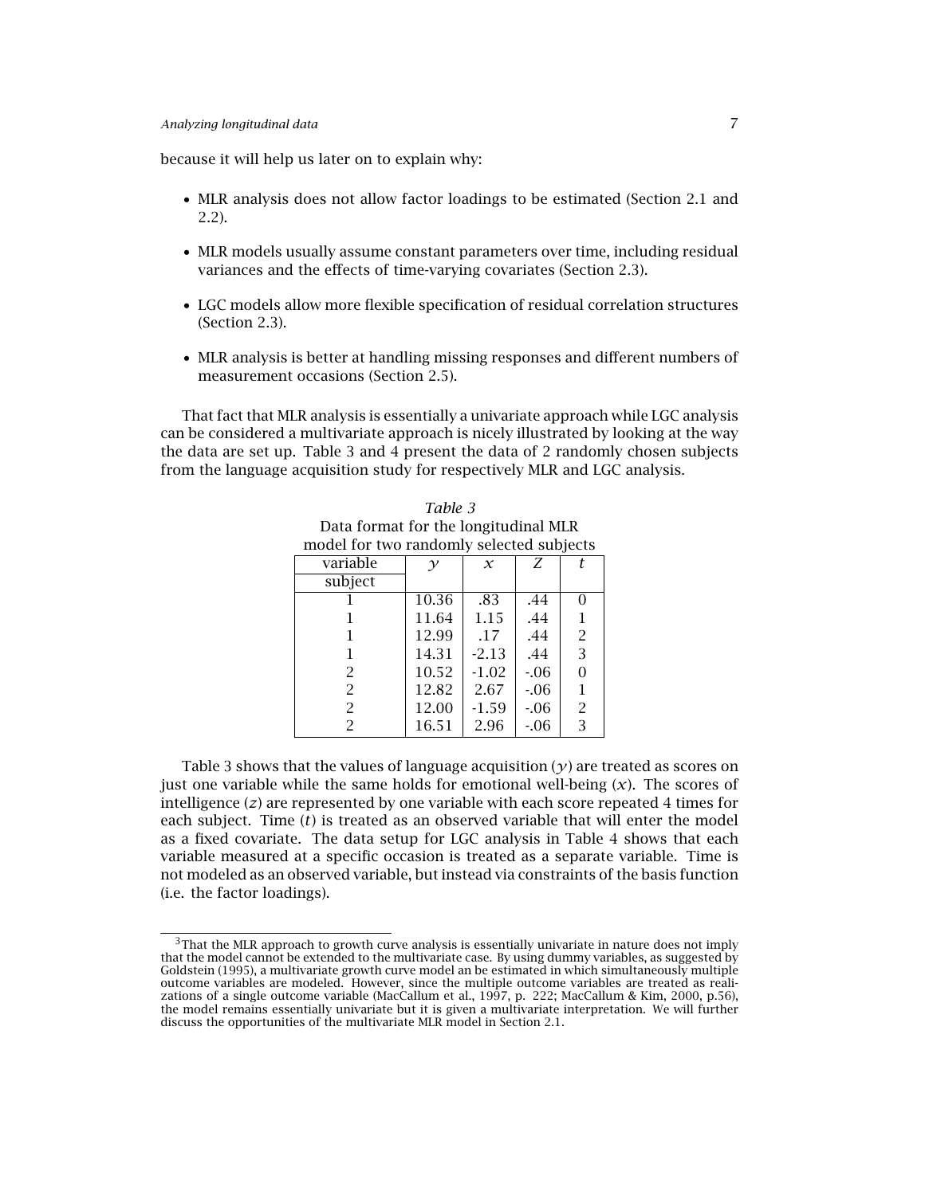because it will help us later on to explain why:

- MLR analysis does not allow factor loadings to be estimated (Section 2.1 and 2.2).
- MLR models usually assume constant parameters over time, including residual variances and the effects of time-varying covariates (Section 2.3).
- LGC models allow more flexible specification of residual correlation structures (Section 2.3).
- MLR analysis is better at handling missing responses and different numbers of measurement occasions (Section 2.5).

That fact that MLR analysis is essentially a univariate approach while LGC analysis can be considered a multivariate approach is nicely illustrated by looking at the way the data are set up. Table 3 and 4 present the data of 2 randomly chosen subjects from the language acquisition study for respectively MLR and LGC analysis.

| Data format for the longitudinal MLR     |       |         |       |   |  |  |
|------------------------------------------|-------|---------|-------|---|--|--|
| model for two randomly selected subjects |       |         |       |   |  |  |
| variable                                 |       | $\chi$  | Ζ     |   |  |  |
| subject                                  |       |         |       |   |  |  |
|                                          | 10.36 | .83     | .44   |   |  |  |
|                                          | 11.64 | 1.15    | .44   | 1 |  |  |
|                                          | 12.99 | .17     | .44   | 2 |  |  |
| 1                                        | 14.31 | $-2.13$ | .44   | 3 |  |  |
| 2                                        | 10.52 | $-1.02$ | $-06$ | 0 |  |  |
| 2                                        | 12.82 | 2.67    | $-06$ | 1 |  |  |
| 2                                        | 12.00 | $-1.59$ | $-06$ | 2 |  |  |
|                                          | 16.51 | 2.96    | $-06$ | 3 |  |  |

*Table 3*

Table 3 shows that the values of language acquisition  $(y)$  are treated as scores on just one variable while the same holds for emotional well-being  $(x)$ . The scores of intelligence (*z*) are represented by one variable with each score repeated 4 times for each subject. Time (*t*) is treated as an observed variable that will enter the model as a fixed covariate. The data setup for LGC analysis in Table 4 shows that each variable measured at a specific occasion is treated as a separate variable. Time is not modeled as an observed variable, but instead via constraints of the basis function (i.e. the factor loadings).

 $3$ That the MLR approach to growth curve analysis is essentially univariate in nature does not imply that the model cannot be extended to the multivariate case. By using dummy variables, as suggested by Goldstein (1995), a multivariate growth curve model an be estimated in which simultaneously multiple outcome variables are modeled. However, since the multiple outcome variables are treated as realizations of a single outcome variable (MacCallum et al., 1997, p. 222; MacCallum & Kim, 2000, p.56), the model remains essentially univariate but it is given a multivariate interpretation. We will further discuss the opportunities of the multivariate MLR model in Section 2.1.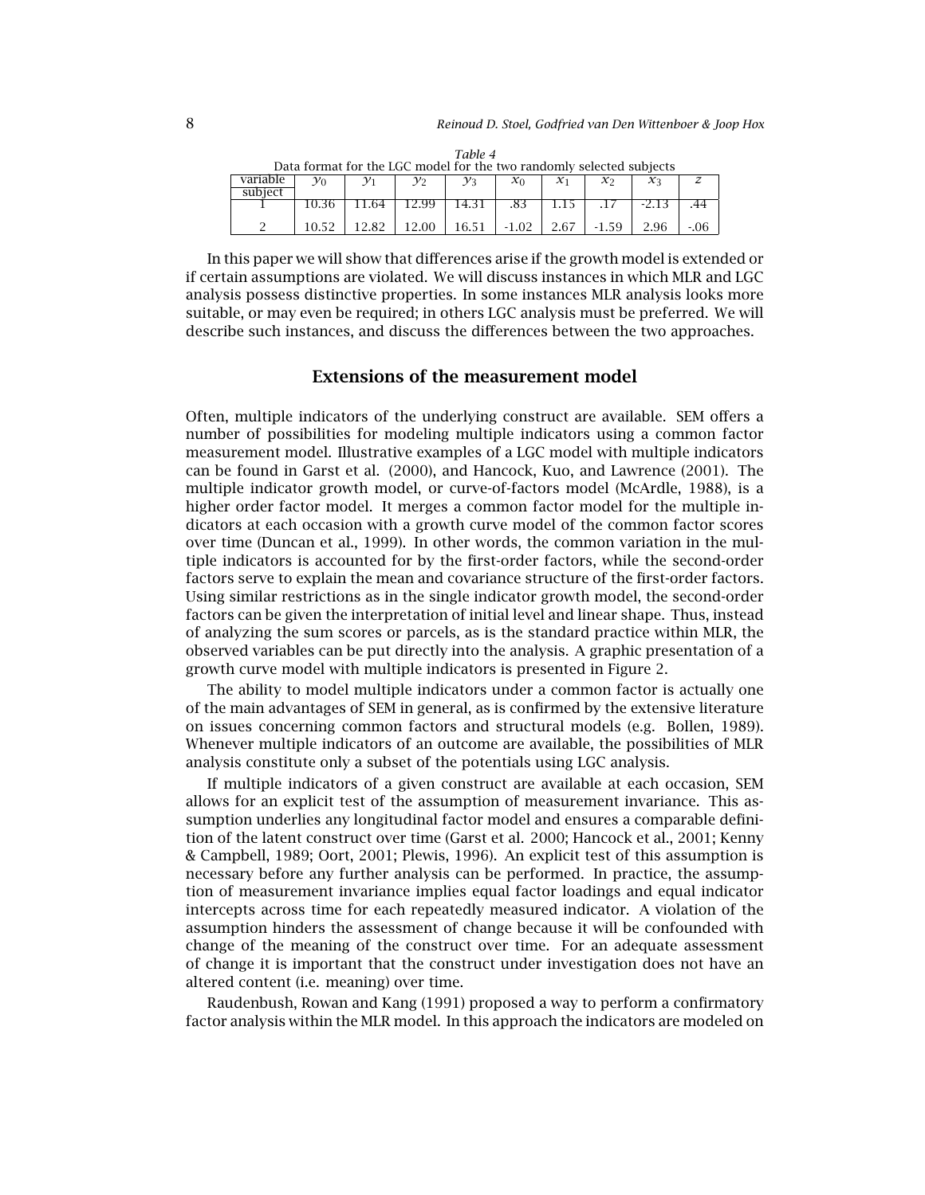| Data format for the LGC model for the two randomly selected subjects |       |       |       |                 |         |          |          |            |  |
|----------------------------------------------------------------------|-------|-------|-------|-----------------|---------|----------|----------|------------|--|
| variable                                                             | γo    |       | ν›    | $\mathcal{V}$ 3 | $x_0$   | $\chi_1$ | $\chi_2$ | $\chi_{3}$ |  |
| subject                                                              |       |       |       |                 |         |          |          |            |  |
|                                                                      |       | .64   | 12.99 | 14.31           | .83     |          |          | -2.13      |  |
|                                                                      | 10.52 | 12.82 | 12.00 | 16.51           | $-1.02$ | 2.67     | $-1.59$  |            |  |

*Table 4*

In this paper we will show that differences arise if the growth model is extended or if certain assumptions are violated. We will discuss instances in which MLR and LGC analysis possess distinctive properties. In some instances MLR analysis looks more suitable, or may even be required; in others LGC analysis must be preferred. We will describe such instances, and discuss the differences between the two approaches.

# **Extensions of the measurement model**

Often, multiple indicators of the underlying construct are available. SEM offers a number of possibilities for modeling multiple indicators using a common factor measurement model. Illustrative examples of a LGC model with multiple indicators can be found in Garst et al. (2000), and Hancock, Kuo, and Lawrence (2001). The multiple indicator growth model, or curve-of-factors model (McArdle, 1988), is a higher order factor model. It merges a common factor model for the multiple indicators at each occasion with a growth curve model of the common factor scores over time (Duncan et al., 1999). In other words, the common variation in the multiple indicators is accounted for by the first-order factors, while the second-order factors serve to explain the mean and covariance structure of the first-order factors. Using similar restrictions as in the single indicator growth model, the second-order factors can be given the interpretation of initial level and linear shape. Thus, instead of analyzing the sum scores or parcels, as is the standard practice within MLR, the observed variables can be put directly into the analysis. A graphic presentation of a growth curve model with multiple indicators is presented in Figure 2.

The ability to model multiple indicators under a common factor is actually one of the main advantages of SEM in general, as is confirmed by the extensive literature on issues concerning common factors and structural models (e.g. Bollen, 1989). Whenever multiple indicators of an outcome are available, the possibilities of MLR analysis constitute only a subset of the potentials using LGC analysis.

If multiple indicators of a given construct are available at each occasion, SEM allows for an explicit test of the assumption of measurement invariance. This assumption underlies any longitudinal factor model and ensures a comparable definition of the latent construct over time (Garst et al. 2000; Hancock et al., 2001; Kenny & Campbell, 1989; Oort, 2001; Plewis, 1996). An explicit test of this assumption is necessary before any further analysis can be performed. In practice, the assumption of measurement invariance implies equal factor loadings and equal indicator intercepts across time for each repeatedly measured indicator. A violation of the assumption hinders the assessment of change because it will be confounded with change of the meaning of the construct over time. For an adequate assessment of change it is important that the construct under investigation does not have an altered content (i.e. meaning) over time.

Raudenbush, Rowan and Kang (1991) proposed a way to perform a confirmatory factor analysis within the MLR model. In this approach the indicators are modeled on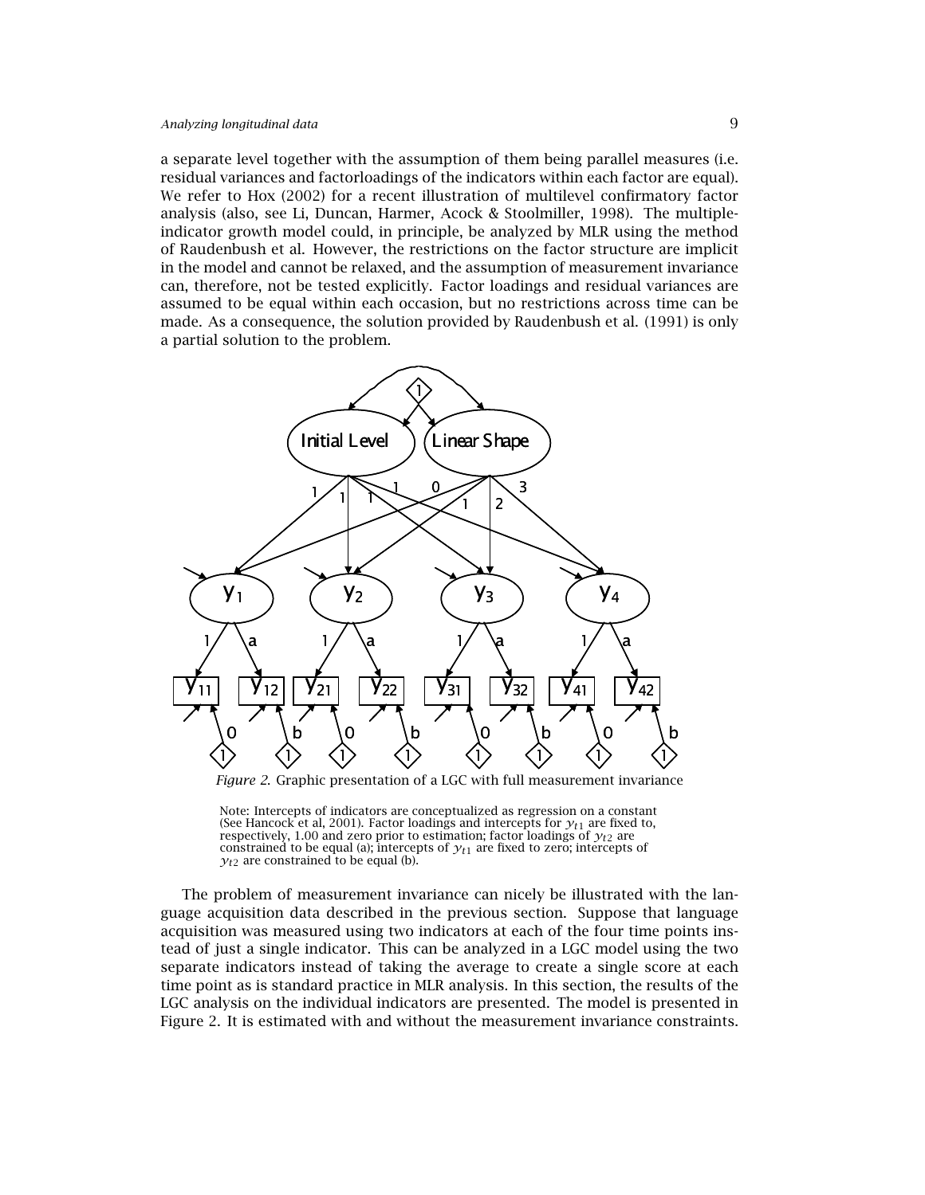a separate level together with the assumption of them being parallel measures (i.e. residual variances and factorloadings of the indicators within each factor are equal). We refer to Hox (2002) for a recent illustration of multilevel confirmatory factor analysis (also, see Li, Duncan, Harmer, Acock & Stoolmiller, 1998). The multipleindicator growth model could, in principle, be analyzed by MLR using the method of Raudenbush et al. However, the restrictions on the factor structure are implicit in the model and cannot be relaxed, and the assumption of measurement invariance can, therefore, not be tested explicitly. Factor loadings and residual variances are assumed to be equal within each occasion, but no restrictions across time can be made. As a consequence, the solution provided by Raudenbush et al. (1991) is only a partial solution to the problem.



Note: Intercepts of indicators are conceptualized as regression on a constant (See Hancock et al, 2001). Factor loadings and intercepts for  $y_{t1}$  are fixed to, respectively, 1.00 and zero prior to estimation; factor loadings of  $y_{t2}$  are constrained to be equal (a); intercepts of  $y_{t1}$  are fixed to zero; intercepts of  $y_{t2}$  are constrained to be equal (b).

The problem of measurement invariance can nicely be illustrated with the language acquisition data described in the previous section. Suppose that language acquisition was measured using two indicators at each of the four time points instead of just a single indicator. This can be analyzed in a LGC model using the two separate indicators instead of taking the average to create a single score at each time point as is standard practice in MLR analysis. In this section, the results of the LGC analysis on the individual indicators are presented. The model is presented in Figure 2. It is estimated with and without the measurement invariance constraints.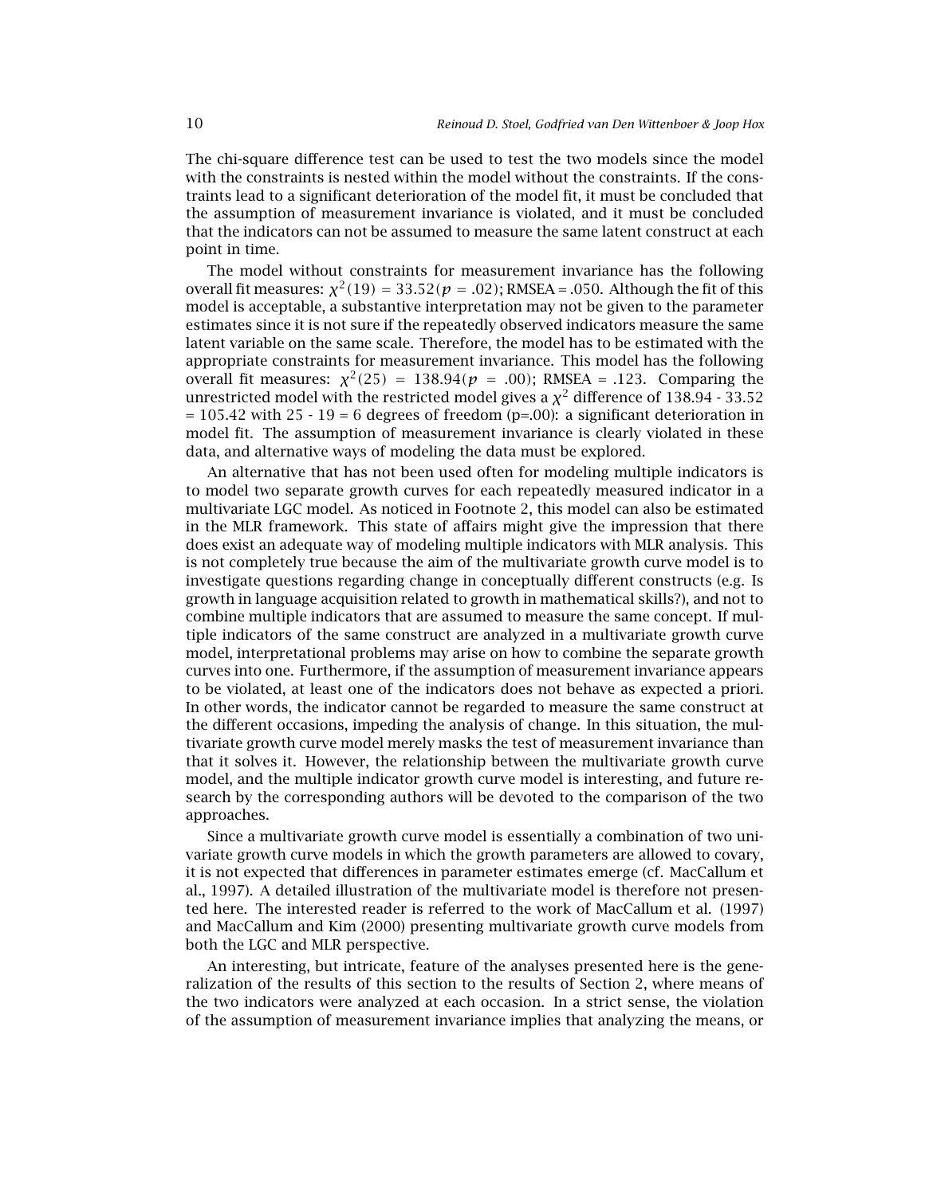The chi-square difference test can be used to test the two models since the model with the constraints is nested within the model without the constraints. If the constraints lead to a significant deterioration of the model fit, it must be concluded that the assumption of measurement invariance is violated, and it must be concluded that the indicators can not be assumed to measure the same latent construct at each point in time.

The model without constraints for measurement invariance has the following overall fit measures:  $χ<sup>2</sup>(19) = 33.52(p = .02)$ ; RMSEA = .050. Although the fit of this model is acceptable, a substantive interpretation may not be given to the parameter estimates since it is not sure if the repeatedly observed indicators measure the same latent variable on the same scale. Therefore, the model has to be estimated with the appropriate constraints for measurement invariance. This model has the following overall fit measures:  $χ^2(25) = 138.94(p = .00)$ ; RMSEA = .123. Comparing the unrestricted model with the restricted model gives a  $\chi^2$  difference of 138.94 - 33.52  $= 105.42$  with  $25 - 19 = 6$  degrees of freedom (p=.00): a significant deterioration in model fit. The assumption of measurement invariance is clearly violated in these data, and alternative ways of modeling the data must be explored.

An alternative that has not been used often for modeling multiple indicators is to model two separate growth curves for each repeatedly measured indicator in a multivariate LGC model. As noticed in Footnote 2, this model can also be estimated in the MLR framework. This state of affairs might give the impression that there does exist an adequate way of modeling multiple indicators with MLR analysis. This is not completely true because the aim of the multivariate growth curve model is to investigate questions regarding change in conceptually different constructs (e.g. Is growth in language acquisition related to growth in mathematical skills?), and not to combine multiple indicators that are assumed to measure the same concept. If multiple indicators of the same construct are analyzed in a multivariate growth curve model, interpretational problems may arise on how to combine the separate growth curves into one. Furthermore, if the assumption of measurement invariance appears to be violated, at least one of the indicators does not behave as expected a priori. In other words, the indicator cannot be regarded to measure the same construct at the different occasions, impeding the analysis of change. In this situation, the multivariate growth curve model merely masks the test of measurement invariance than that it solves it. However, the relationship between the multivariate growth curve model, and the multiple indicator growth curve model is interesting, and future research by the corresponding authors will be devoted to the comparison of the two approaches.

Since a multivariate growth curve model is essentially a combination of two univariate growth curve models in which the growth parameters are allowed to covary, it is not expected that differences in parameter estimates emerge (cf. MacCallum et al., 1997). A detailed illustration of the multivariate model is therefore not presented here. The interested reader is referred to the work of MacCallum et al. (1997) and MacCallum and Kim (2000) presenting multivariate growth curve models from both the LGC and MLR perspective.

An interesting, but intricate, feature of the analyses presented here is the generalization of the results of this section to the results of Section 2, where means of the two indicators were analyzed at each occasion. In a strict sense, the violation of the assumption of measurement invariance implies that analyzing the means, or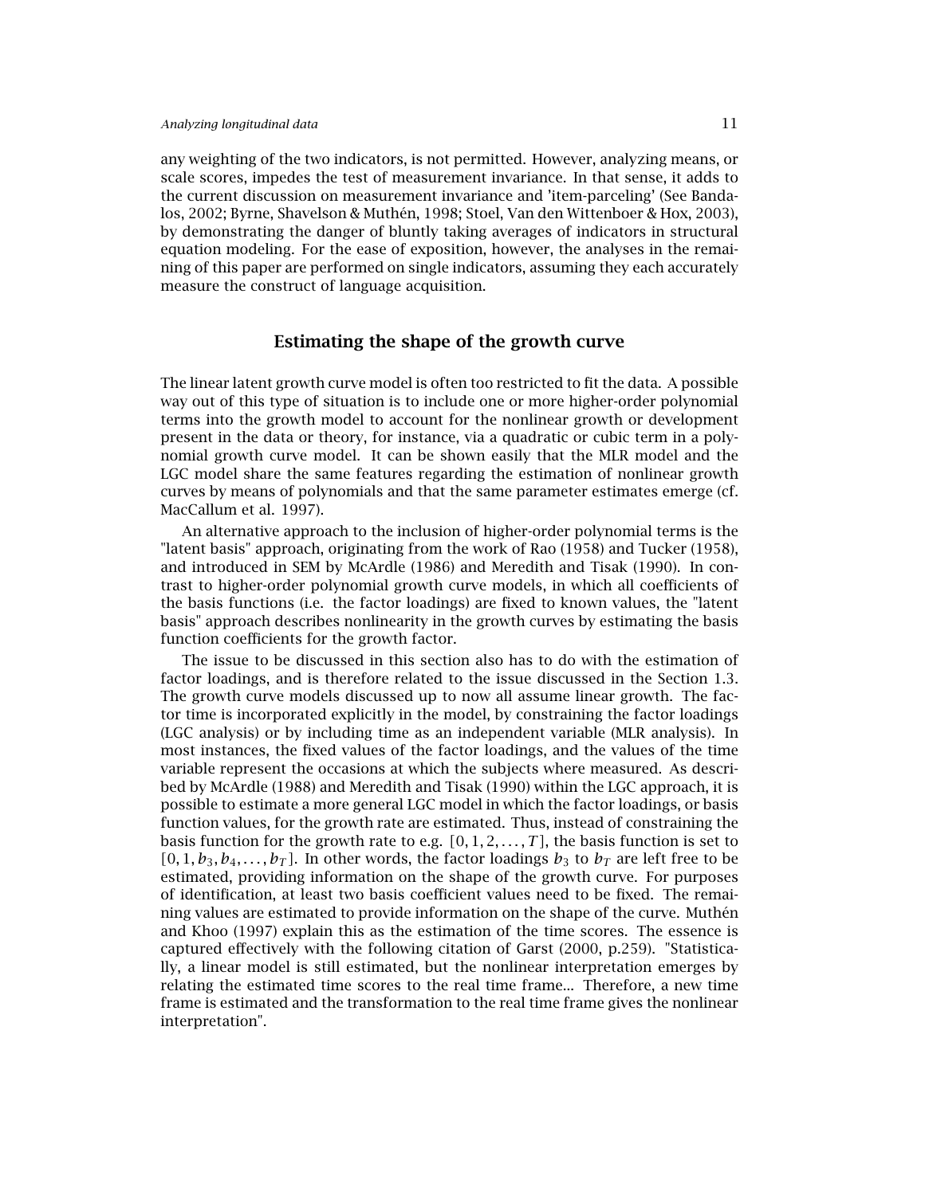any weighting of the two indicators, is not permitted. However, analyzing means, or scale scores, impedes the test of measurement invariance. In that sense, it adds to the current discussion on measurement invariance and 'item-parceling' (See Bandalos, 2002; Byrne, Shavelson & Muthén, 1998; Stoel, Van den Wittenboer & Hox, 2003), by demonstrating the danger of bluntly taking averages of indicators in structural equation modeling. For the ease of exposition, however, the analyses in the remaining of this paper are performed on single indicators, assuming they each accurately measure the construct of language acquisition.

## **Estimating the shape of the growth curve**

The linear latent growth curve model is often too restricted to fit the data. A possible way out of this type of situation is to include one or more higher-order polynomial terms into the growth model to account for the nonlinear growth or development present in the data or theory, for instance, via a quadratic or cubic term in a polynomial growth curve model. It can be shown easily that the MLR model and the LGC model share the same features regarding the estimation of nonlinear growth curves by means of polynomials and that the same parameter estimates emerge (cf. MacCallum et al. 1997).

An alternative approach to the inclusion of higher-order polynomial terms is the "latent basis" approach, originating from the work of Rao (1958) and Tucker (1958), and introduced in SEM by McArdle (1986) and Meredith and Tisak (1990). In contrast to higher-order polynomial growth curve models, in which all coefficients of the basis functions (i.e. the factor loadings) are fixed to known values, the "latent basis" approach describes nonlinearity in the growth curves by estimating the basis function coefficients for the growth factor.

The issue to be discussed in this section also has to do with the estimation of factor loadings, and is therefore related to the issue discussed in the Section 1.3. The growth curve models discussed up to now all assume linear growth. The factor time is incorporated explicitly in the model, by constraining the factor loadings (LGC analysis) or by including time as an independent variable (MLR analysis). In most instances, the fixed values of the factor loadings, and the values of the time variable represent the occasions at which the subjects where measured. As described by McArdle (1988) and Meredith and Tisak (1990) within the LGC approach, it is possible to estimate a more general LGC model in which the factor loadings, or basis function values, for the growth rate are estimated. Thus, instead of constraining the basis function for the growth rate to e.g.  $[0, 1, 2, \ldots, T]$ , the basis function is set to  $[0,1,b_3,b_4,\ldots,b_T]$ . In other words, the factor loadings  $b_3$  to  $b_T$  are left free to be estimated, providing information on the shape of the growth curve. For purposes of identification, at least two basis coefficient values need to be fixed. The remaining values are estimated to provide information on the shape of the curve. Muthén and Khoo (1997) explain this as the estimation of the time scores. The essence is captured effectively with the following citation of Garst (2000, p.259). "Statistically, a linear model is still estimated, but the nonlinear interpretation emerges by relating the estimated time scores to the real time frame... Therefore, a new time frame is estimated and the transformation to the real time frame gives the nonlinear interpretation".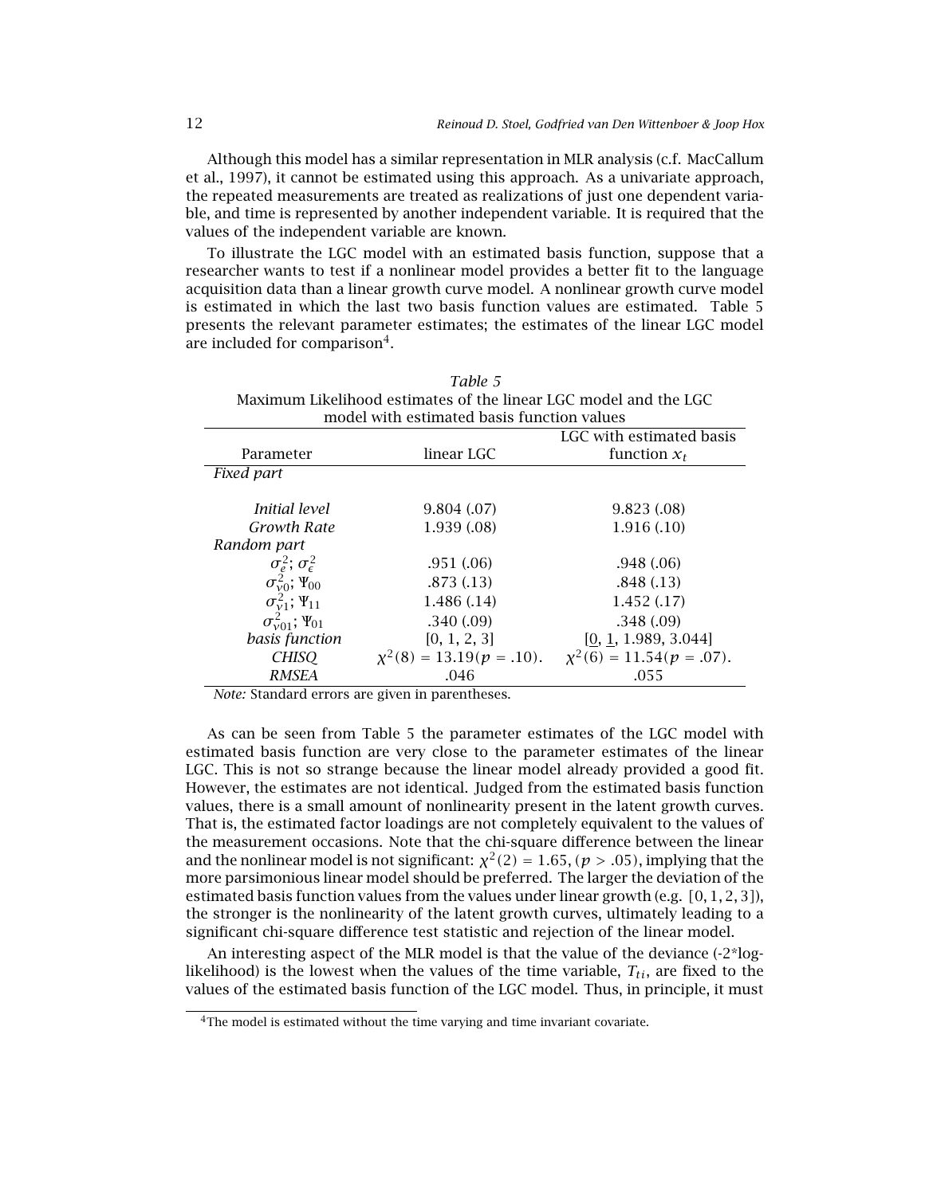Although this model has a similar representation in MLR analysis (c.f. MacCallum et al., 1997), it cannot be estimated using this approach. As a univariate approach, the repeated measurements are treated as realizations of just one dependent variable, and time is represented by another independent variable. It is required that the values of the independent variable are known.

To illustrate the LGC model with an estimated basis function, suppose that a researcher wants to test if a nonlinear model provides a better fit to the language acquisition data than a linear growth curve model. A nonlinear growth curve model is estimated in which the last two basis function values are estimated. Table 5 presents the relevant parameter estimates; the estimates of the linear LGC model are included for comparison<sup>4</sup>.

*Table 5*

| Maximum Likelihood estimates of the linear LGC model and the LGC<br>model with estimated basis function values |              |                                                              |  |  |  |  |  |
|----------------------------------------------------------------------------------------------------------------|--------------|--------------------------------------------------------------|--|--|--|--|--|
| LGC with estimated basis                                                                                       |              |                                                              |  |  |  |  |  |
| Parameter                                                                                                      | linear LGC   | function $x_t$                                               |  |  |  |  |  |
| Fixed part                                                                                                     |              |                                                              |  |  |  |  |  |
| Initial level                                                                                                  | 9.804(.07)   | 9.823(0.08)                                                  |  |  |  |  |  |
| <b>Growth Rate</b>                                                                                             | 1.939(0.08)  | 1.916(0.10)                                                  |  |  |  |  |  |
| Random part                                                                                                    |              |                                                              |  |  |  |  |  |
| $\sigma_e^2$ ; $\sigma_{\epsilon}^2$                                                                           | .951(.06)    | .948(.06)                                                    |  |  |  |  |  |
|                                                                                                                | .873(.13)    | .848(.13)                                                    |  |  |  |  |  |
| $\sigma_{\nu 0}^2$ ; $\Psi_{00}$<br>$\sigma_{\nu 1}^2$ ; $\Psi_{11}$                                           | 1.486(.14)   | 1.452(0.17)                                                  |  |  |  |  |  |
| $\sigma_{\nu 01}^2$ ; $\Psi_{01}$                                                                              | .340(.09)    | .348(.09)                                                    |  |  |  |  |  |
| basis function                                                                                                 | [0, 1, 2, 3] | [0, 1, 1.989, 3.044]                                         |  |  |  |  |  |
| <b>CHISO</b>                                                                                                   |              | $\chi^2(8) = 13.19(p = 10)$ . $\chi^2(6) = 11.54(p = .07)$ . |  |  |  |  |  |
| RMSEA                                                                                                          | .046         | .055                                                         |  |  |  |  |  |

*Note:* Standard errors are given in parentheses.

As can be seen from Table 5 the parameter estimates of the LGC model with estimated basis function are very close to the parameter estimates of the linear LGC. This is not so strange because the linear model already provided a good fit. However, the estimates are not identical. Judged from the estimated basis function values, there is a small amount of nonlinearity present in the latent growth curves. That is, the estimated factor loadings are not completely equivalent to the values of the measurement occasions. Note that the chi-square difference between the linear and the nonlinear model is not significant:  $\chi^2(2) = 1.65$ , ( $p > .05$ ), implying that the more parsimonious linear model should be preferred. The larger the deviation of the estimated basis function values from the values under linear growth (e.g. *[*0*,* 1*,* 2*,* 3*]*), the stronger is the nonlinearity of the latent growth curves, ultimately leading to a significant chi-square difference test statistic and rejection of the linear model.

An interesting aspect of the MLR model is that the value of the deviance (-2\*loglikelihood) is the lowest when the values of the time variable,  $T_{ti}$ , are fixed to the values of the estimated basis function of the LGC model. Thus, in principle, it must

<sup>&</sup>lt;sup>4</sup>The model is estimated without the time varying and time invariant covariate.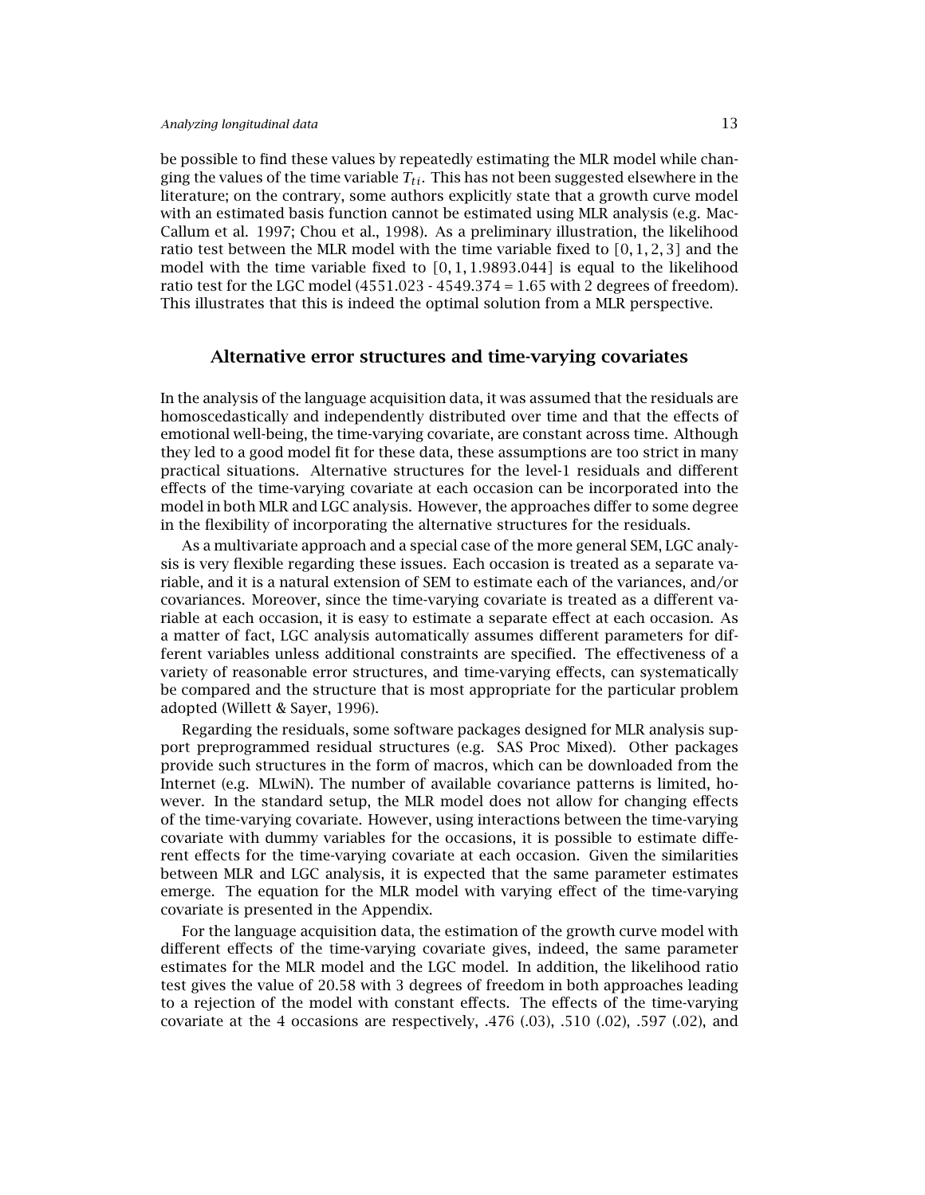be possible to find these values by repeatedly estimating the MLR model while changing the values of the time variable  $T_{ti}$ . This has not been suggested elsewhere in the literature; on the contrary, some authors explicitly state that a growth curve model with an estimated basis function cannot be estimated using MLR analysis (e.g. Mac-Callum et al. 1997; Chou et al., 1998). As a preliminary illustration, the likelihood ratio test between the MLR model with the time variable fixed to *[*0*,* 1*,* 2*,* 3*]* and the model with the time variable fixed to *[*0*,* 1*,* 1*.*9893*.*044*]* is equal to the likelihood ratio test for the LGC model  $(4551.023 - 4549.374 = 1.65$  with 2 degrees of freedom). This illustrates that this is indeed the optimal solution from a MLR perspective.

## **Alternative error structures and time-varying covariates**

In the analysis of the language acquisition data, it was assumed that the residuals are homoscedastically and independently distributed over time and that the effects of emotional well-being, the time-varying covariate, are constant across time. Although they led to a good model fit for these data, these assumptions are too strict in many practical situations. Alternative structures for the level-1 residuals and different effects of the time-varying covariate at each occasion can be incorporated into the model in both MLR and LGC analysis. However, the approaches differ to some degree in the flexibility of incorporating the alternative structures for the residuals.

As a multivariate approach and a special case of the more general SEM, LGC analysis is very flexible regarding these issues. Each occasion is treated as a separate variable, and it is a natural extension of SEM to estimate each of the variances, and/or covariances. Moreover, since the time-varying covariate is treated as a different variable at each occasion, it is easy to estimate a separate effect at each occasion. As a matter of fact, LGC analysis automatically assumes different parameters for different variables unless additional constraints are specified. The effectiveness of a variety of reasonable error structures, and time-varying effects, can systematically be compared and the structure that is most appropriate for the particular problem adopted (Willett & Sayer, 1996).

Regarding the residuals, some software packages designed for MLR analysis support preprogrammed residual structures (e.g. SAS Proc Mixed). Other packages provide such structures in the form of macros, which can be downloaded from the Internet (e.g. MLwiN). The number of available covariance patterns is limited, however. In the standard setup, the MLR model does not allow for changing effects of the time-varying covariate. However, using interactions between the time-varying covariate with dummy variables for the occasions, it is possible to estimate different effects for the time-varying covariate at each occasion. Given the similarities between MLR and LGC analysis, it is expected that the same parameter estimates emerge. The equation for the MLR model with varying effect of the time-varying covariate is presented in the Appendix.

For the language acquisition data, the estimation of the growth curve model with different effects of the time-varying covariate gives, indeed, the same parameter estimates for the MLR model and the LGC model. In addition, the likelihood ratio test gives the value of 20.58 with 3 degrees of freedom in both approaches leading to a rejection of the model with constant effects. The effects of the time-varying covariate at the 4 occasions are respectively,  $.476$  (.03),  $.510$  (.02),  $.597$  (.02), and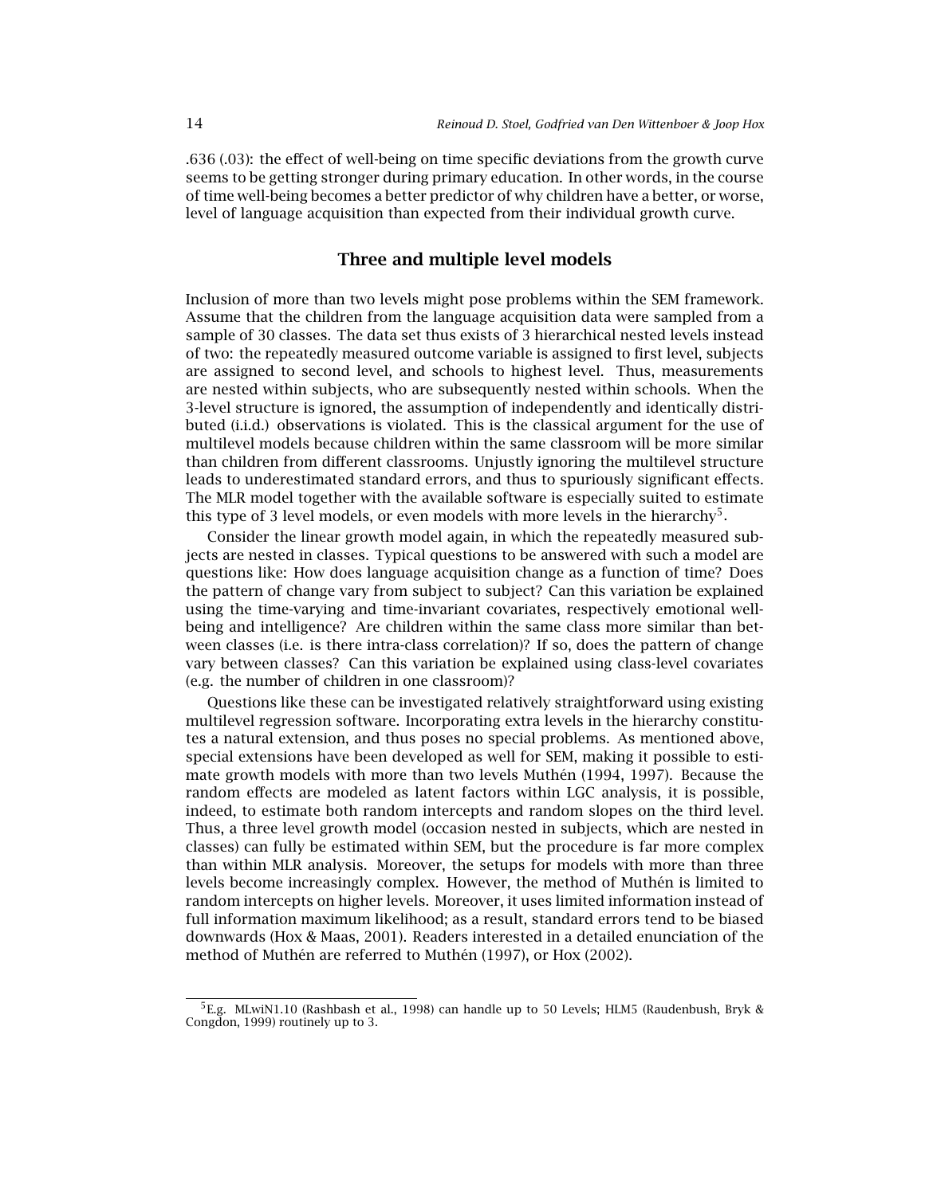.636 (.03): the effect of well-being on time specific deviations from the growth curve seems to be getting stronger during primary education. In other words, in the course of time well-being becomes a better predictor of why children have a better, or worse, level of language acquisition than expected from their individual growth curve.

# **Three and multiple level models**

Inclusion of more than two levels might pose problems within the SEM framework. Assume that the children from the language acquisition data were sampled from a sample of 30 classes. The data set thus exists of 3 hierarchical nested levels instead of two: the repeatedly measured outcome variable is assigned to first level, subjects are assigned to second level, and schools to highest level. Thus, measurements are nested within subjects, who are subsequently nested within schools. When the 3-level structure is ignored, the assumption of independently and identically distributed (i.i.d.) observations is violated. This is the classical argument for the use of multilevel models because children within the same classroom will be more similar than children from different classrooms. Unjustly ignoring the multilevel structure leads to underestimated standard errors, and thus to spuriously significant effects. The MLR model together with the available software is especially suited to estimate this type of 3 level models, or even models with more levels in the hierarchy<sup>5</sup>.

Consider the linear growth model again, in which the repeatedly measured subjects are nested in classes. Typical questions to be answered with such a model are questions like: How does language acquisition change as a function of time? Does the pattern of change vary from subject to subject? Can this variation be explained using the time-varying and time-invariant covariates, respectively emotional wellbeing and intelligence? Are children within the same class more similar than between classes (i.e. is there intra-class correlation)? If so, does the pattern of change vary between classes? Can this variation be explained using class-level covariates (e.g. the number of children in one classroom)?

Questions like these can be investigated relatively straightforward using existing multilevel regression software. Incorporating extra levels in the hierarchy constitutes a natural extension, and thus poses no special problems. As mentioned above, special extensions have been developed as well for SEM, making it possible to estimate growth models with more than two levels Muthén (1994, 1997). Because the random effects are modeled as latent factors within LGC analysis, it is possible, indeed, to estimate both random intercepts and random slopes on the third level. Thus, a three level growth model (occasion nested in subjects, which are nested in classes) can fully be estimated within SEM, but the procedure is far more complex than within MLR analysis. Moreover, the setups for models with more than three levels become increasingly complex. However, the method of Muthén is limited to random intercepts on higher levels. Moreover, it uses limited information instead of full information maximum likelihood; as a result, standard errors tend to be biased downwards (Hox & Maas, 2001). Readers interested in a detailed enunciation of the method of Muthén are referred to Muthén (1997), or Hox (2002).

<sup>5</sup>E.g. MLwiN1.10 (Rashbash et al., 1998) can handle up to 50 Levels; HLM5 (Raudenbush, Bryk & Congdon, 1999) routinely up to 3.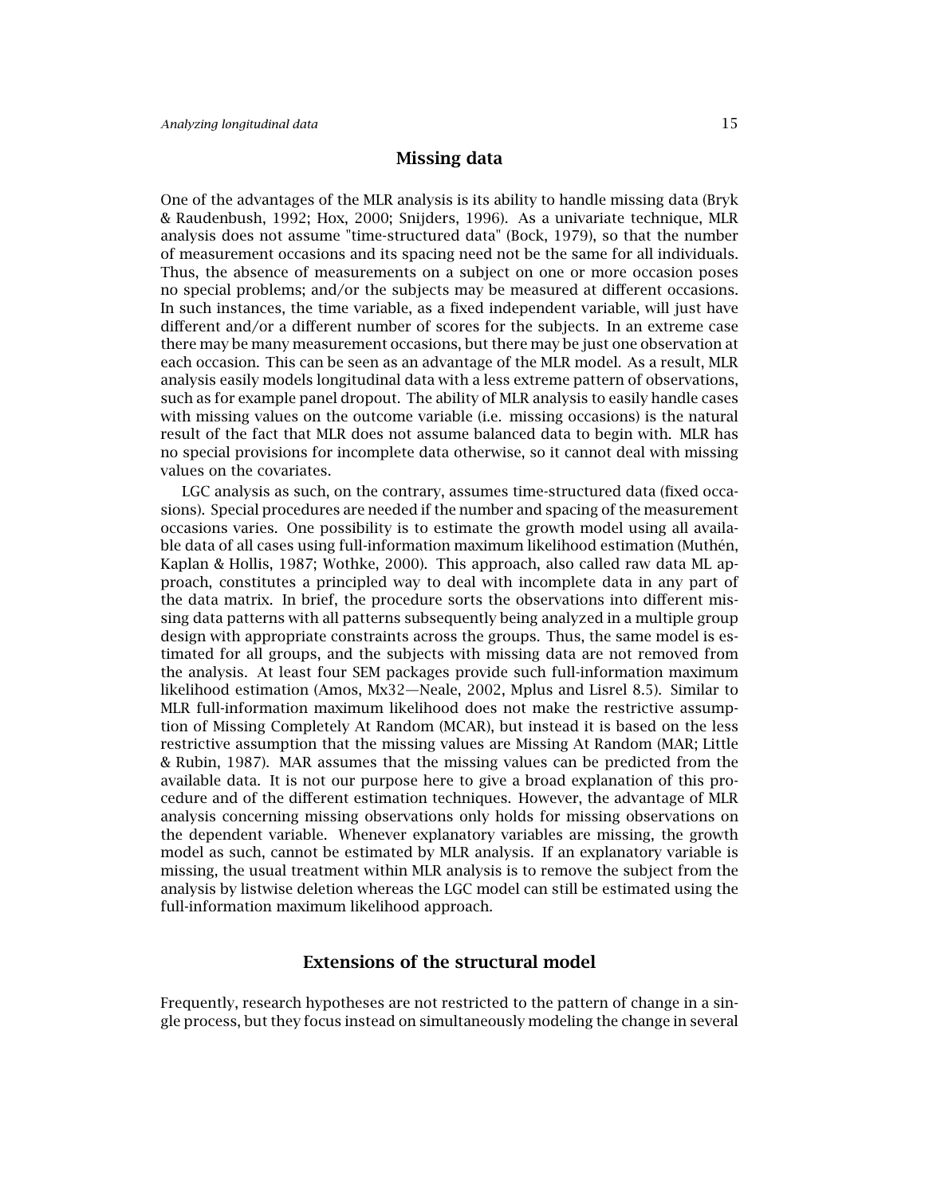# **Missing data**

One of the advantages of the MLR analysis is its ability to handle missing data (Bryk & Raudenbush, 1992; Hox, 2000; Snijders, 1996). As a univariate technique, MLR analysis does not assume "time-structured data" (Bock, 1979), so that the number of measurement occasions and its spacing need not be the same for all individuals. Thus, the absence of measurements on a subject on one or more occasion poses no special problems; and/or the subjects may be measured at different occasions. In such instances, the time variable, as a fixed independent variable, will just have different and/or a different number of scores for the subjects. In an extreme case there may be many measurement occasions, but there may be just one observation at each occasion. This can be seen as an advantage of the MLR model. As a result, MLR analysis easily models longitudinal data with a less extreme pattern of observations, such as for example panel dropout. The ability of MLR analysis to easily handle cases with missing values on the outcome variable (i.e. missing occasions) is the natural result of the fact that MLR does not assume balanced data to begin with. MLR has no special provisions for incomplete data otherwise, so it cannot deal with missing values on the covariates.

LGC analysis as such, on the contrary, assumes time-structured data (fixed occasions). Special procedures are needed if the number and spacing of the measurement occasions varies. One possibility is to estimate the growth model using all available data of all cases using full-information maximum likelihood estimation (Muthén, Kaplan & Hollis, 1987; Wothke, 2000). This approach, also called raw data ML approach, constitutes a principled way to deal with incomplete data in any part of the data matrix. In brief, the procedure sorts the observations into different missing data patterns with all patterns subsequently being analyzed in a multiple group design with appropriate constraints across the groups. Thus, the same model is estimated for all groups, and the subjects with missing data are not removed from the analysis. At least four SEM packages provide such full-information maximum likelihood estimation (Amos, Mx32—Neale, 2002, Mplus and Lisrel 8.5). Similar to MLR full-information maximum likelihood does not make the restrictive assumption of Missing Completely At Random (MCAR), but instead it is based on the less restrictive assumption that the missing values are Missing At Random (MAR; Little & Rubin, 1987). MAR assumes that the missing values can be predicted from the available data. It is not our purpose here to give a broad explanation of this procedure and of the different estimation techniques. However, the advantage of MLR analysis concerning missing observations only holds for missing observations on the dependent variable. Whenever explanatory variables are missing, the growth model as such, cannot be estimated by MLR analysis. If an explanatory variable is missing, the usual treatment within MLR analysis is to remove the subject from the analysis by listwise deletion whereas the LGC model can still be estimated using the full-information maximum likelihood approach.

# **Extensions of the structural model**

Frequently, research hypotheses are not restricted to the pattern of change in a single process, but they focus instead on simultaneously modeling the change in several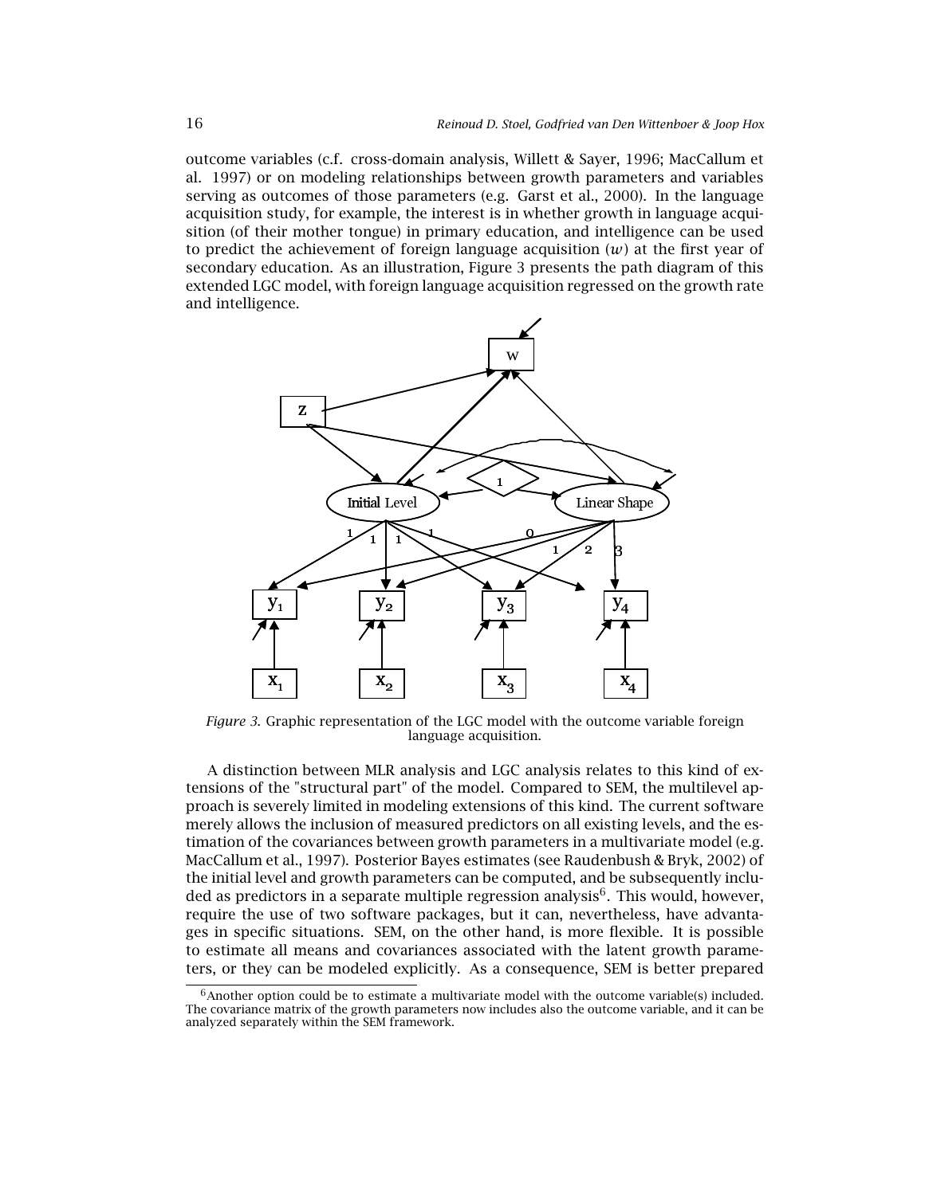outcome variables (c.f. cross-domain analysis, Willett & Sayer, 1996; MacCallum et al. 1997) or on modeling relationships between growth parameters and variables serving as outcomes of those parameters (e.g. Garst et al., 2000). In the language acquisition study, for example, the interest is in whether growth in language acquisition (of their mother tongue) in primary education, and intelligence can be used to predict the achievement of foreign language acquisition  $(w)$  at the first year of secondary education. As an illustration, Figure 3 presents the path diagram of this extended LGC model, with foreign language acquisition regressed on the growth rate and intelligence.



*Figure 3*. Graphic representation of the LGC model with the outcome variable foreign language acquisition.

A distinction between MLR analysis and LGC analysis relates to this kind of extensions of the "structural part" of the model. Compared to SEM, the multilevel approach is severely limited in modeling extensions of this kind. The current software merely allows the inclusion of measured predictors on all existing levels, and the estimation of the covariances between growth parameters in a multivariate model (e.g. MacCallum et al., 1997). Posterior Bayes estimates (see Raudenbush & Bryk, 2002) of the initial level and growth parameters can be computed, and be subsequently included as predictors in a separate multiple regression analysis<sup>6</sup>. This would, however, require the use of two software packages, but it can, nevertheless, have advantages in specific situations. SEM, on the other hand, is more flexible. It is possible to estimate all means and covariances associated with the latent growth parameters, or they can be modeled explicitly. As a consequence, SEM is better prepared

 $6$ Another option could be to estimate a multivariate model with the outcome variable(s) included. The covariance matrix of the growth parameters now includes also the outcome variable, and it can be analyzed separately within the SEM framework.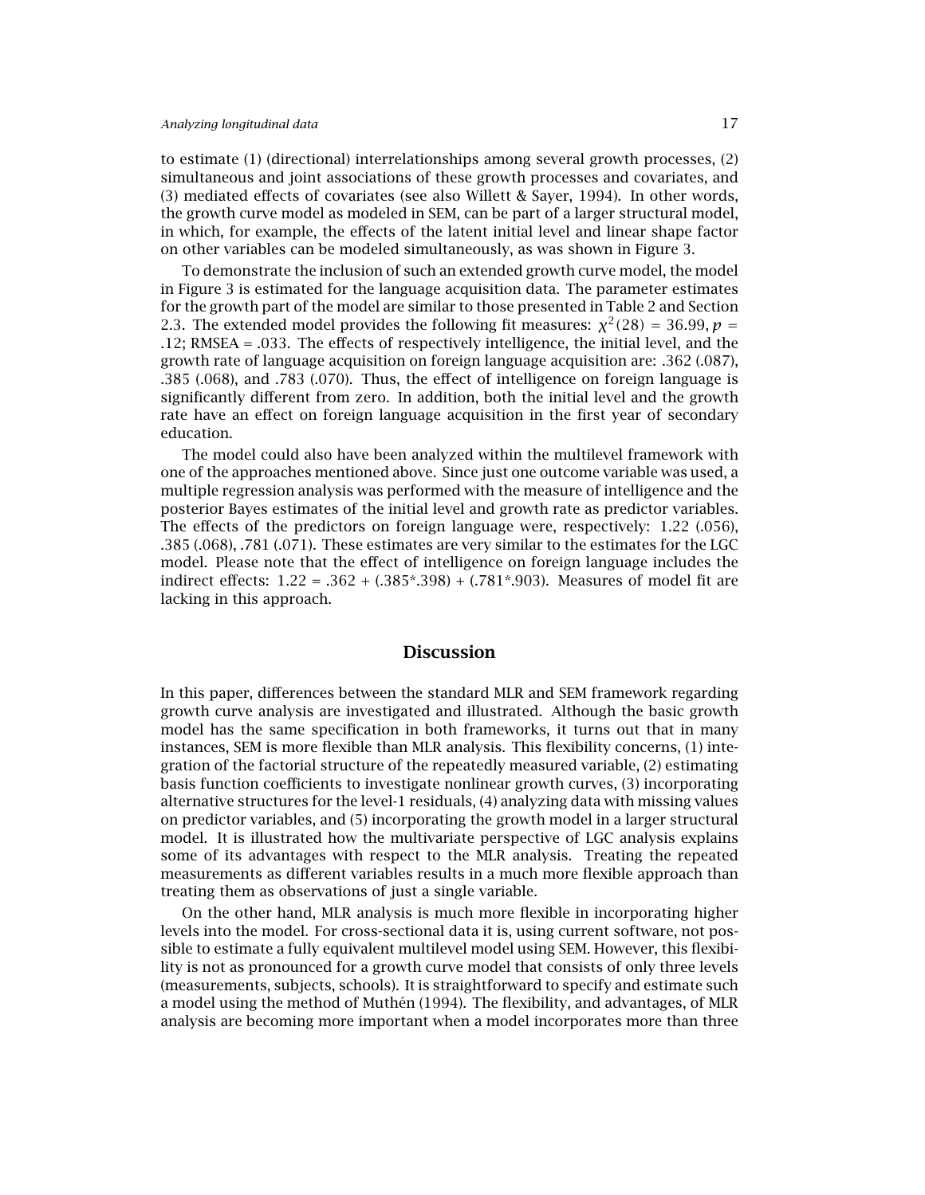to estimate (1) (directional) interrelationships among several growth processes, (2) simultaneous and joint associations of these growth processes and covariates, and (3) mediated effects of covariates (see also Willett & Sayer, 1994). In other words, the growth curve model as modeled in SEM, can be part of a larger structural model, in which, for example, the effects of the latent initial level and linear shape factor on other variables can be modeled simultaneously, as was shown in Figure 3.

To demonstrate the inclusion of such an extended growth curve model, the model in Figure 3 is estimated for the language acquisition data. The parameter estimates for the growth part of the model are similar to those presented in Table 2 and Section 2.3. The extended model provides the following fit measures:  $\chi^2(28) = 36.99$ ,  $p =$ *.*12; RMSEA = .033. The effects of respectively intelligence, the initial level, and the growth rate of language acquisition on foreign language acquisition are: .362 (.087), .385 (.068), and .783 (.070). Thus, the effect of intelligence on foreign language is significantly different from zero. In addition, both the initial level and the growth rate have an effect on foreign language acquisition in the first year of secondary education.

The model could also have been analyzed within the multilevel framework with one of the approaches mentioned above. Since just one outcome variable was used, a multiple regression analysis was performed with the measure of intelligence and the posterior Bayes estimates of the initial level and growth rate as predictor variables. The effects of the predictors on foreign language were, respectively: 1.22 (.056), .385 (.068), .781 (.071). These estimates are very similar to the estimates for the LGC model. Please note that the effect of intelligence on foreign language includes the indirect effects: 1.22 = .362 + (.385\*.398) + (.781\*.903). Measures of model fit are lacking in this approach.

### **Discussion**

In this paper, differences between the standard MLR and SEM framework regarding growth curve analysis are investigated and illustrated. Although the basic growth model has the same specification in both frameworks, it turns out that in many instances, SEM is more flexible than MLR analysis. This flexibility concerns, (1) integration of the factorial structure of the repeatedly measured variable, (2) estimating basis function coefficients to investigate nonlinear growth curves, (3) incorporating alternative structures for the level-1 residuals, (4) analyzing data with missing values on predictor variables, and (5) incorporating the growth model in a larger structural model. It is illustrated how the multivariate perspective of LGC analysis explains some of its advantages with respect to the MLR analysis. Treating the repeated measurements as different variables results in a much more flexible approach than treating them as observations of just a single variable.

On the other hand, MLR analysis is much more flexible in incorporating higher levels into the model. For cross-sectional data it is, using current software, not possible to estimate a fully equivalent multilevel model using SEM. However, this flexibility is not as pronounced for a growth curve model that consists of only three levels (measurements, subjects, schools). It is straightforward to specify and estimate such a model using the method of Muthén (1994). The flexibility, and advantages, of MLR analysis are becoming more important when a model incorporates more than three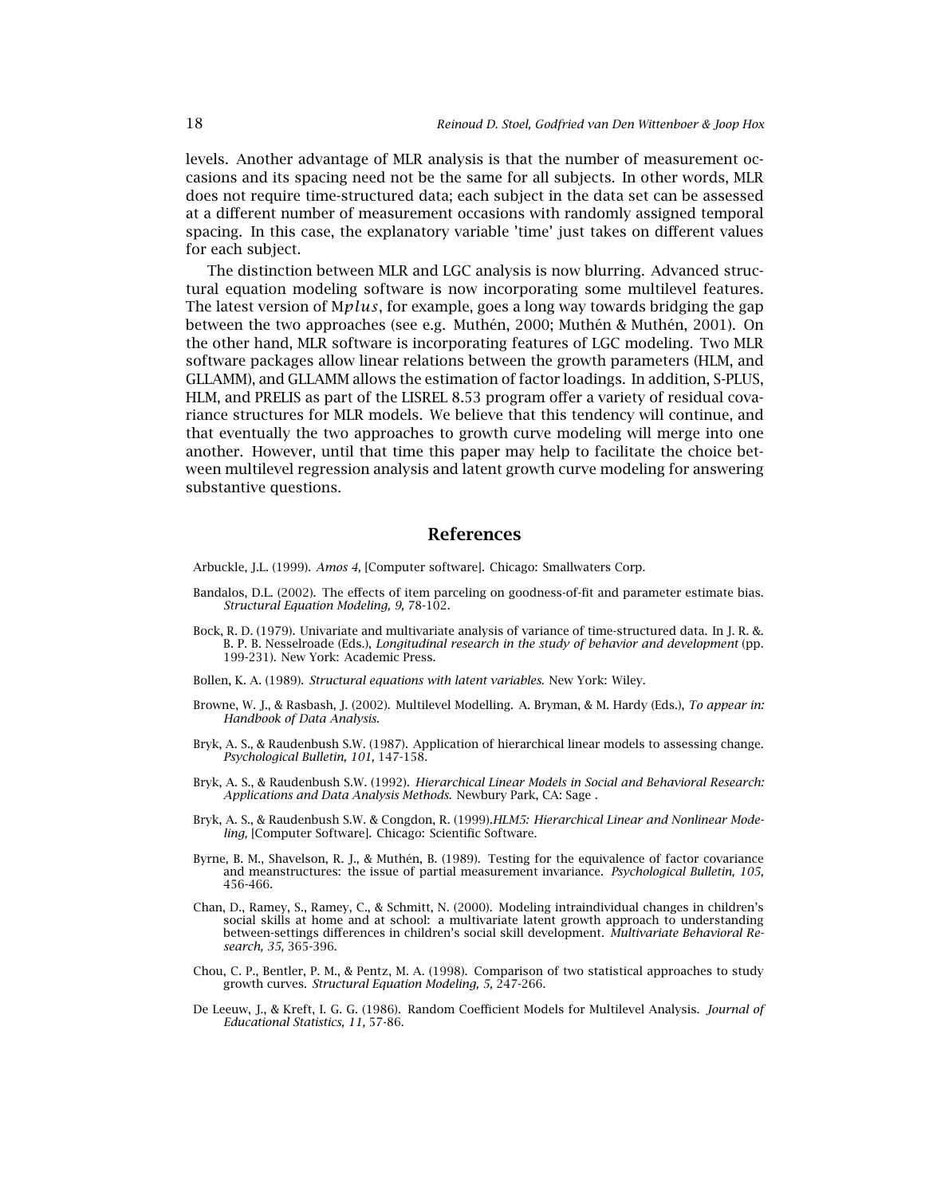levels. Another advantage of MLR analysis is that the number of measurement occasions and its spacing need not be the same for all subjects. In other words, MLR does not require time-structured data; each subject in the data set can be assessed at a different number of measurement occasions with randomly assigned temporal spacing. In this case, the explanatory variable 'time' just takes on different values for each subject.

The distinction between MLR and LGC analysis is now blurring. Advanced structural equation modeling software is now incorporating some multilevel features. The latest version of M*plus*, for example, goes a long way towards bridging the gap between the two approaches (see e.g. Muthén, 2000; Muthén & Muthén, 2001). On the other hand, MLR software is incorporating features of LGC modeling. Two MLR software packages allow linear relations between the growth parameters (HLM, and GLLAMM), and GLLAMM allows the estimation of factor loadings. In addition, S-PLUS, HLM, and PRELIS as part of the LISREL 8.53 program offer a variety of residual covariance structures for MLR models. We believe that this tendency will continue, and that eventually the two approaches to growth curve modeling will merge into one another. However, until that time this paper may help to facilitate the choice between multilevel regression analysis and latent growth curve modeling for answering substantive questions.

# **References**

Arbuckle, J.L. (1999). *Amos 4,* [Computer software]. Chicago: Smallwaters Corp.

- Bandalos, D.L. (2002). The effects of item parceling on goodness-of-fit and parameter estimate bias. *Structural Equation Modeling, 9,* 78-102.
- Bock, R. D. (1979). Univariate and multivariate analysis of variance of time-structured data. In J. R. &. B. P. B. Nesselroade (Eds.), *Longitudinal research in the study of behavior and development* (pp. 199-231). New York: Academic Press.

Bollen, K. A. (1989). *Structural equations with latent variables*. New York: Wiley.

- Browne, W. J., & Rasbash, J. (2002). Multilevel Modelling. A. Bryman, & M. Hardy (Eds.), *To appear in: Handbook of Data Analysis.*
- Bryk, A. S., & Raudenbush S.W. (1987). Application of hierarchical linear models to assessing change. *Psychological Bulletin, 101,* 147-158.
- Bryk, A. S., & Raudenbush S.W. (1992). *Hierarchical Linear Models in Social and Behavioral Research: Applications and Data Analysis Methods.* Newbury Park, CA: Sage .
- Bryk, A. S., & Raudenbush S.W. & Congdon, R. (1999).*HLM5: Hierarchical Linear and Nonlinear Modeling,* [Computer Software]. Chicago: Scientific Software.
- Byrne, B. M., Shavelson, R. J., & Muthén, B. (1989). Testing for the equivalence of factor covariance and meanstructures: the issue of partial measurement invariance. *Psychological Bulletin, 105,* 456-466.
- Chan, D., Ramey, S., Ramey, C., & Schmitt, N. (2000). Modeling intraindividual changes in children's social skills at home and at school: a multivariate latent growth approach to understanding between-settings differences in children's social skill development. *Multivariate Behavioral Research, 35,* 365-396.
- Chou, C. P., Bentler, P. M., & Pentz, M. A. (1998). Comparison of two statistical approaches to study growth curves. *Structural Equation Modeling, 5,* 247-266.
- De Leeuw, J., & Kreft, I. G. G. (1986). Random Coefficient Models for Multilevel Analysis. *Journal of Educational Statistics, 11,* 57-86.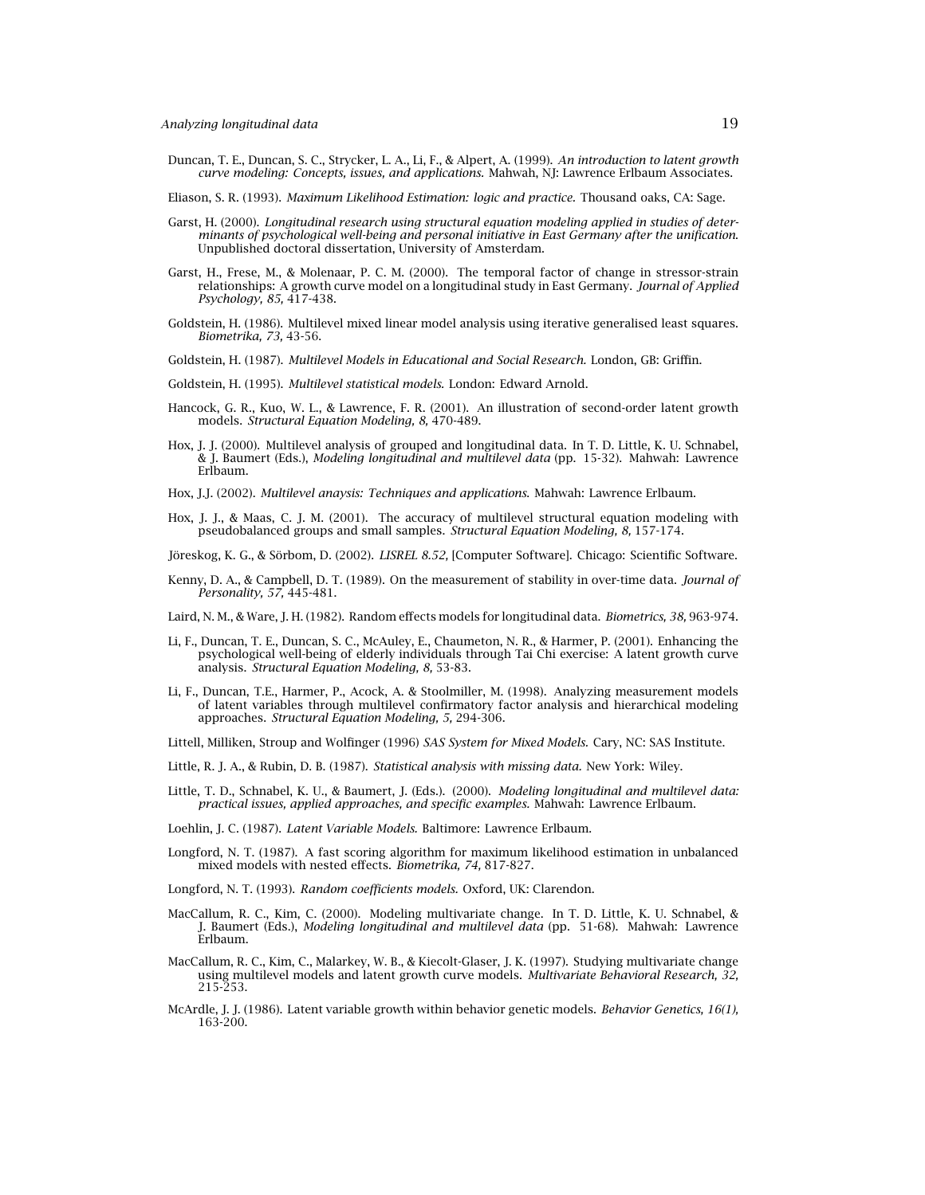Duncan, T. E., Duncan, S. C., Strycker, L. A., Li, F., & Alpert, A. (1999). *An introduction to latent growth curve modeling: Concepts, issues, and applications.* Mahwah, NJ: Lawrence Erlbaum Associates.

Eliason, S. R. (1993). *Maximum Likelihood Estimation: logic and practice.* Thousand oaks, CA: Sage.

- Garst, H. (2000). *Longitudinal research using structural equation modeling applied in studies of determinants of psychological well-being and personal initiative in East Germany after the unification*. Unpublished doctoral dissertation, University of Amsterdam.
- Garst, H., Frese, M., & Molenaar, P. C. M. (2000). The temporal factor of change in stressor-strain relationships: A growth curve model on a longitudinal study in East Germany. *Journal of Applied Psychology, 85,* 417-438.
- Goldstein, H. (1986). Multilevel mixed linear model analysis using iterative generalised least squares. *Biometrika, 73,* 43-56.

Goldstein, H. (1987). *Multilevel Models in Educational and Social Research.* London, GB: Griffin.

- Goldstein, H. (1995). *Multilevel statistical models.* London: Edward Arnold.
- Hancock, G. R., Kuo, W. L., & Lawrence, F. R. (2001). An illustration of second-order latent growth models. *Structural Equation Modeling, 8,* 470-489.
- Hox, J. J. (2000). Multilevel analysis of grouped and longitudinal data. In T. D. Little, K. U. Schnabel, & J. Baumert (Eds.), *Modeling longitudinal and multilevel data* (pp. 15-32). Mahwah: Lawrence Erlbaum.
- Hox, J.J. (2002). *Multilevel anaysis: Techniques and applications*. Mahwah: Lawrence Erlbaum.
- Hox, J. J., & Maas, C. J. M. (2001). The accuracy of multilevel structural equation modeling with pseudobalanced groups and small samples. *Structural Equation Modeling, 8,* 157-174.
- Jöreskog, K. G., & Sörbom, D. (2002). *LISREL 8.52,* [Computer Software]. Chicago: Scientific Software.
- Kenny, D. A., & Campbell, D. T. (1989). On the measurement of stability in over-time data. *Journal of Personality, 57,* 445-481.

Laird, N. M., & Ware, J. H. (1982). Random effects models for longitudinal data. *Biometrics, 38,* 963-974.

- Li, F., Duncan, T. E., Duncan, S. C., McAuley, E., Chaumeton, N. R., & Harmer, P. (2001). Enhancing the psychological well-being of elderly individuals through Tai Chi exercise: A latent growth curve analysis. *Structural Equation Modeling, 8,* 53-83.
- Li, F., Duncan, T.E., Harmer, P., Acock, A. & Stoolmiller, M. (1998). Analyzing measurement models of latent variables through multilevel confirmatory factor analysis and hierarchical modeling approaches. *Structural Equation Modeling, 5,* 294-306.
- Littell, Milliken, Stroup and Wolfinger (1996) *SAS System for Mixed Models.* Cary, NC: SAS Institute.
- Little, R. J. A., & Rubin, D. B. (1987). *Statistical analysis with missing data.* New York: Wiley.
- Little, T. D., Schnabel, K. U., & Baumert, J. (Eds.). (2000). *Modeling longitudinal and multilevel data: practical issues, applied approaches, and specific examples.* Mahwah: Lawrence Erlbaum.

Loehlin, J. C. (1987). *Latent Variable Models.* Baltimore: Lawrence Erlbaum.

Longford, N. T. (1987). A fast scoring algorithm for maximum likelihood estimation in unbalanced mixed models with nested effects. *Biometrika, 74,* 817-827.

Longford, N. T. (1993). *Random coefficients models.* Oxford, UK: Clarendon.

- MacCallum, R. C., Kim, C. (2000). Modeling multivariate change. In T. D. Little, K. U. Schnabel, & J. Baumert (Eds.), *Modeling longitudinal and multilevel data* (pp. 51-68). Mahwah: Lawrence Erlbaum.
- MacCallum, R. C., Kim, C., Malarkey, W. B., & Kiecolt-Glaser, J. K. (1997). Studying multivariate change using multilevel models and latent growth curve models. *Multivariate Behavioral Research, 32,* 215-253.
- McArdle, J. J. (1986). Latent variable growth within behavior genetic models. *Behavior Genetics, 16(1),* 163-200.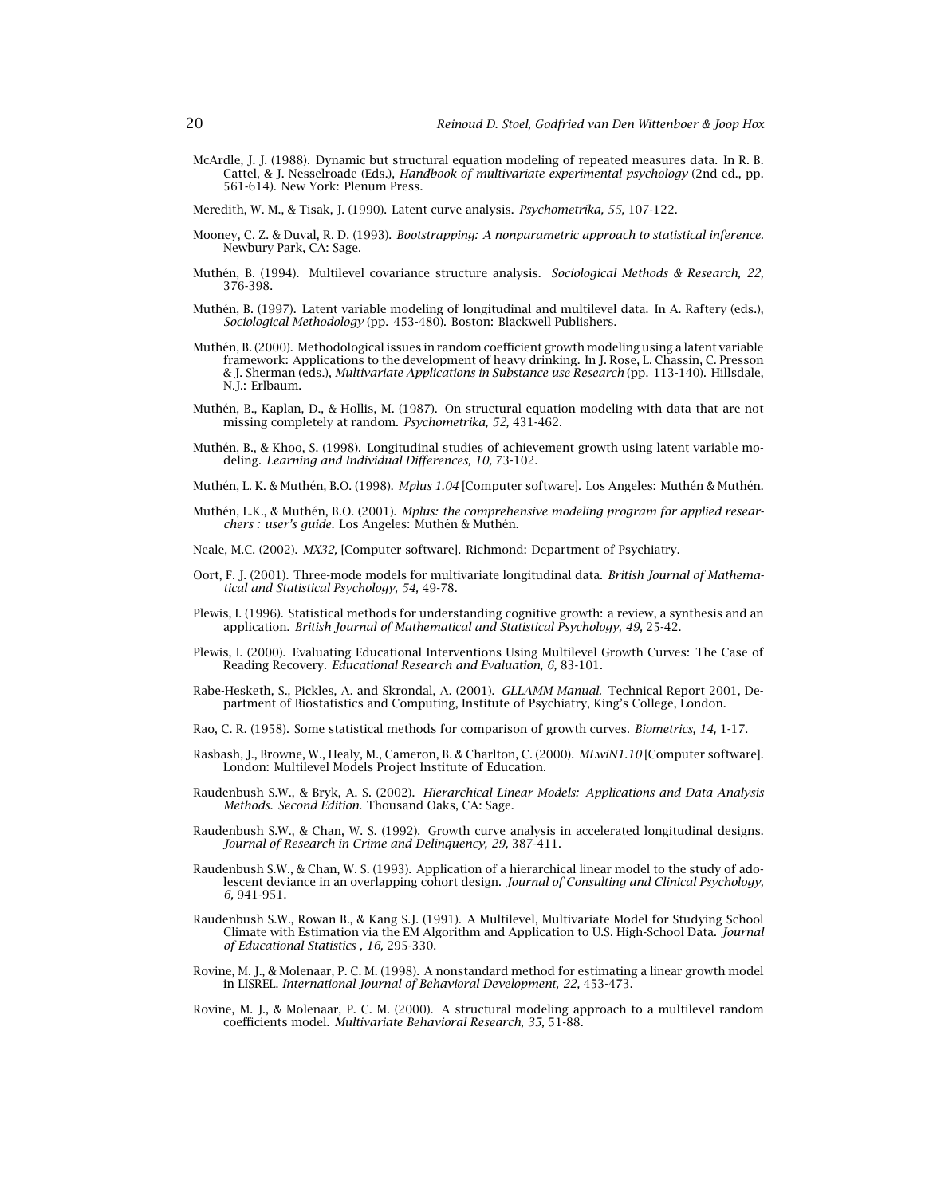- McArdle, J. J. (1988). Dynamic but structural equation modeling of repeated measures data. In R. B. Cattel, & J. Nesselroade (Eds.), *Handbook of multivariate experimental psychology* (2nd ed., pp. 561-614). New York: Plenum Press.
- Meredith, W. M., & Tisak, J. (1990). Latent curve analysis. *Psychometrika, 55,* 107-122.
- Mooney, C. Z. & Duval, R. D. (1993). *Bootstrapping: A nonparametric approach to statistical inference.* Newbury Park, CA: Sage.
- Muthén, B. (1994). Multilevel covariance structure analysis. *Sociological Methods & Research, 22,* 376-398.
- Muthén, B. (1997). Latent variable modeling of longitudinal and multilevel data. In A. Raftery (eds.), *Sociological Methodology* (pp. 453-480). Boston: Blackwell Publishers.
- Muthén, B. (2000). Methodological issues in random coefficient growth modeling using a latent variable framework: Applications to the development of heavy drinking. In J. Rose, L. Chassin, C. Presson & J. Sherman (eds.), *Multivariate Applications in Substance use Research* (pp. 113-140). Hillsdale, N.J.: Erlbaum.
- Muthén, B., Kaplan, D., & Hollis, M. (1987). On structural equation modeling with data that are not missing completely at random. *Psychometrika, 52,* 431-462.
- Muthén, B., & Khoo, S. (1998). Longitudinal studies of achievement growth using latent variable modeling. *Learning and Individual Differences, 10,* 73-102.
- Muthén, L. K. & Muthén, B.O. (1998). *Mplus 1.04* [Computer software]. Los Angeles: Muthén & Muthén.
- Muthén, L.K., & Muthén, B.O. (2001). *Mplus: the comprehensive modeling program for applied researchers : user's guide.* Los Angeles: Muthén & Muthén.
- Neale, M.C. (2002). *MX32,* [Computer software]. Richmond: Department of Psychiatry.
- Oort, F. J. (2001). Three-mode models for multivariate longitudinal data. *British Journal of Mathematical and Statistical Psychology, 54,* 49-78.
- Plewis, I. (1996). Statistical methods for understanding cognitive growth: a review, a synthesis and an application. *British Journal of Mathematical and Statistical Psychology, 49,* 25-42.
- Plewis, I. (2000). Evaluating Educational Interventions Using Multilevel Growth Curves: The Case of Reading Recovery. *Educational Research and Evaluation, 6,* 83-101.
- Rabe-Hesketh, S., Pickles, A. and Skrondal, A. (2001). *GLLAMM Manual.* Technical Report 2001, Department of Biostatistics and Computing, Institute of Psychiatry, King's College, London.
- Rao, C. R. (1958). Some statistical methods for comparison of growth curves. *Biometrics, 14,* 1-17.
- Rasbash, J., Browne, W., Healy, M., Cameron, B. & Charlton, C. (2000). *MLwiN1.10* [Computer software]. London: Multilevel Models Project Institute of Education.
- Raudenbush S.W., & Bryk, A. S. (2002). *Hierarchical Linear Models: Applications and Data Analysis Methods. Second Edition.* Thousand Oaks, CA: Sage.
- Raudenbush S.W., & Chan, W. S. (1992). Growth curve analysis in accelerated longitudinal designs. *Journal of Research in Crime and Delinquency, 29,* 387-411.
- Raudenbush S.W., & Chan, W. S. (1993). Application of a hierarchical linear model to the study of adolescent deviance in an overlapping cohort design. *Journal of Consulting and Clinical Psychology, 6,* 941-951.
- Raudenbush S.W., Rowan B., & Kang S.J. (1991). A Multilevel, Multivariate Model for Studying School Climate with Estimation via the EM Algorithm and Application to U.S. High-School Data. *Journal of Educational Statistics , 16,* 295-330.
- Rovine, M. J., & Molenaar, P. C. M. (1998). A nonstandard method for estimating a linear growth model in LISREL. *International Journal of Behavioral Development, 22,* 453-473.
- Rovine, M. J., & Molenaar, P. C. M. (2000). A structural modeling approach to a multilevel random coefficients model. *Multivariate Behavioral Research, 35,* 51-88.